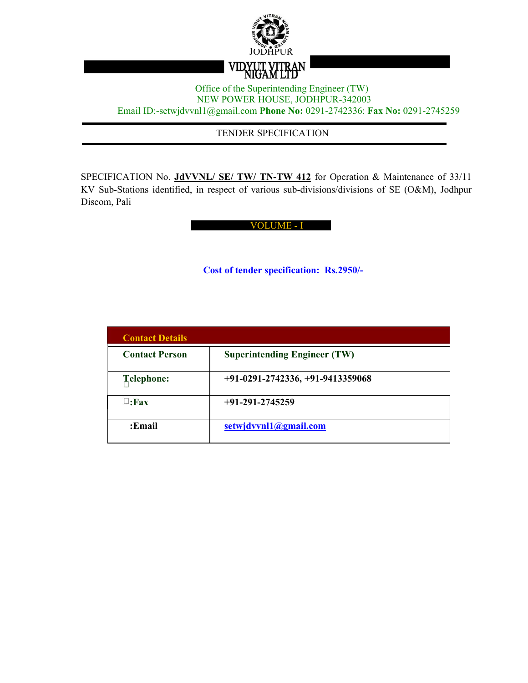

### Office of the Superintending Engineer (TW) NEW POWER HOUSE, JODHPUR-342003 Email ID:-setwjdvvnl1@gmail.com **Phone No:** 0291-2742336: **Fax No:** 0291-2745259

TENDER SPECIFICATION

SPECIFICATION No. **JdVVNL/ SE/ TW/ TN-TW 412** for Operation & Maintenance of 33/11 KV Sub-Stations identified, in respect of various sub-divisions/divisions of SE (O&M), Jodhpur Discom, Pali

VOLUME - I

**Cost of tender specification: Rs.2950/-**

| <b>Contact Details</b> |                                     |
|------------------------|-------------------------------------|
| <b>Contact Person</b>  | <b>Superintending Engineer (TW)</b> |
| <b>Telephone:</b>      | $+91-0291-2742336, +91-9413359068$  |
| $\Box$ :Fax            | $+91-291-2745259$                   |
| :Email                 | setwjdvvnl1@gmail.com               |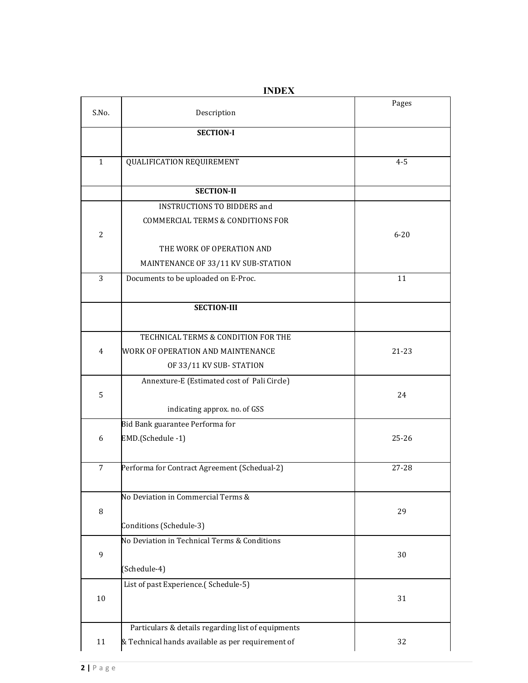| S.No.          | Description                                        | Pages     |
|----------------|----------------------------------------------------|-----------|
|                | <b>SECTION-I</b>                                   |           |
| $\mathbf{1}$   | QUALIFICATION REQUIREMENT                          | $4 - 5$   |
|                | <b>SECTION-II</b>                                  |           |
|                | <b>INSTRUCTIONS TO BIDDERS and</b>                 |           |
|                | <b>COMMERCIAL TERMS &amp; CONDITIONS FOR</b>       |           |
| $\overline{2}$ |                                                    | $6 - 20$  |
|                | THE WORK OF OPERATION AND                          |           |
|                | MAINTENANCE OF 33/11 KV SUB-STATION                |           |
| 3              | Documents to be uploaded on E-Proc.                | 11        |
|                |                                                    |           |
|                | <b>SECTION-III</b>                                 |           |
|                |                                                    |           |
|                | TECHNICAL TERMS & CONDITION FOR THE                |           |
| $\overline{4}$ | WORK OF OPERATION AND MAINTENANCE                  | $21 - 23$ |
|                | OF 33/11 KV SUB-STATION                            |           |
|                | Annexture-E (Estimated cost of Pali Circle)        |           |
| 5              |                                                    | 24        |
|                | indicating approx. no. of GSS                      |           |
|                | Bid Bank guarantee Performa for                    |           |
| 6              | EMD.(Schedule -1)                                  | $25 - 26$ |
| $\overline{7}$ | Performa for Contract Agreement (Schedual-2)       | 27-28     |
|                | No Deviation in Commercial Terms &                 |           |
| $\, 8$         |                                                    | 29        |
|                | Conditions (Schedule-3)                            |           |
|                | No Deviation in Technical Terms & Conditions       |           |
| 9              |                                                    | 30        |
|                | (Schedule-4)                                       |           |
|                | List of past Experience.(Schedule-5)               |           |
| 10             |                                                    | 31        |
|                | Particulars & details regarding list of equipments |           |
| 11             | & Technical hands available as per requirement of  | 32        |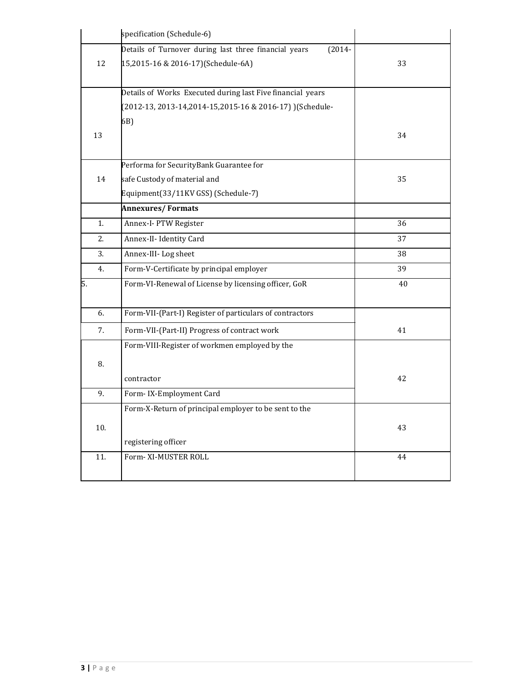|     | specification (Schedule-6)                                         |    |
|-----|--------------------------------------------------------------------|----|
|     | Details of Turnover during last three financial years<br>$(2014 -$ |    |
| 12  | 15,2015-16 & 2016-17)(Schedule-6A)                                 | 33 |
|     |                                                                    |    |
|     | Details of Works Executed during last Five financial years         |    |
|     | (2012-13, 2013-14, 2014-15, 2015-16 & 2016-17) ) (Schedule-        |    |
|     | 6B)                                                                |    |
| 13  |                                                                    | 34 |
|     |                                                                    |    |
|     | Performa for SecurityBank Guarantee for                            |    |
| 14  | safe Custody of material and                                       | 35 |
|     | Equipment(33/11KV GSS) (Schedule-7)                                |    |
|     | <b>Annexures/Formats</b>                                           |    |
| 1.  | Annex-I- PTW Register                                              | 36 |
| 2.  | Annex-II- Identity Card                                            | 37 |
| 3.  | Annex-III-Log sheet                                                | 38 |
| 4.  | Form-V-Certificate by principal employer                           | 39 |
| 5.  | Form-VI-Renewal of License by licensing officer, GoR               | 40 |
|     |                                                                    |    |
| 6.  | Form-VII-(Part-I) Register of particulars of contractors           |    |
| 7.  | Form-VII-(Part-II) Progress of contract work                       | 41 |
|     | Form-VIII-Register of workmen employed by the                      |    |
| 8.  |                                                                    |    |
|     | contractor                                                         | 42 |
| 9.  | Form-IX-Employment Card                                            |    |
|     | Form-X-Return of principal employer to be sent to the              |    |
| 10. |                                                                    | 43 |
|     | registering officer                                                |    |
| 11. | Form- XI-MUSTER ROLL                                               | 44 |
|     |                                                                    |    |
|     |                                                                    |    |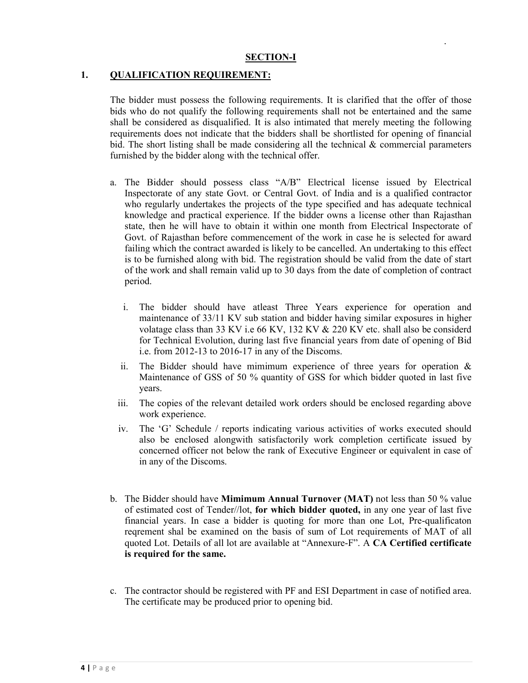#### **SECTION-I**

#### **1. QUALIFICATION REQUIREMENT:**

The bidder must possess the following requirements. It is clarified that the offer of those bids who do not qualify the following requirements shall not be entertained and the same shall be considered as disqualified. It is also intimated that merely meeting the following requirements does not indicate that the bidders shall be shortlisted for opening of financial bid. The short listing shall be made considering all the technical  $\&$  commercial parameters furnished by the bidder along with the technical offer.

- a. The Bidder should possess class "A/B" Electrical license issued by Electrical Inspectorate of any state Govt. or Central Govt. of India and is a qualified contractor who regularly undertakes the projects of the type specified and has adequate technical knowledge and practical experience. If the bidder owns a license other than Rajasthan state, then he will have to obtain it within one month from Electrical Inspectorate of Govt. of Rajasthan before commencement of the work in case he is selected for award failing which the contract awarded is likely to be cancelled. An undertaking to this effect is to be furnished along with bid. The registration should be valid from the date of start of the work and shall remain valid up to 30 days from the date of completion of contract period.
	- i. The bidder should have atleast Three Years experience for operation and maintenance of 33/11 KV sub station and bidder having similar exposures in higher volatage class than 33 KV i.e 66 KV, 132 KV  $&$  220 KV etc. shall also be considerd for Technical Evolution, during last five financial years from date of opening of Bid i.e. from 2012-13 to 2016-17 in any of the Discoms.
	- ii. The Bidder should have mimimum experience of three years for operation  $\&$ Maintenance of GSS of 50 % quantity of GSS for which bidder quoted in last five years.
	- iii. The copies of the relevant detailed work orders should be enclosed regarding above work experience.
	- iv. The 'G' Schedule / reports indicating various activities of works executed should also be enclosed alongwith satisfactorily work completion certificate issued by concerned officer not below the rank of Executive Engineer or equivalent in case of in any of the Discoms.
- b. The Bidder should have **Mimimum Annual Turnover (MAT)** not less than 50 % value of estimated cost of Tender//lot, **for which bidder quoted,** in any one year of last five financial years. In case a bidder is quoting for more than one Lot, Pre-qualificaton reqrement shal be examined on the basis of sum of Lot requirements of MAT of all quoted Lot. Details of all lot are available at "Annexure-F". A **CA Certified certificate is required for the same.**
- c. The contractor should be registered with PF and ESI Department in case of notified area. The certificate may be produced prior to opening bid.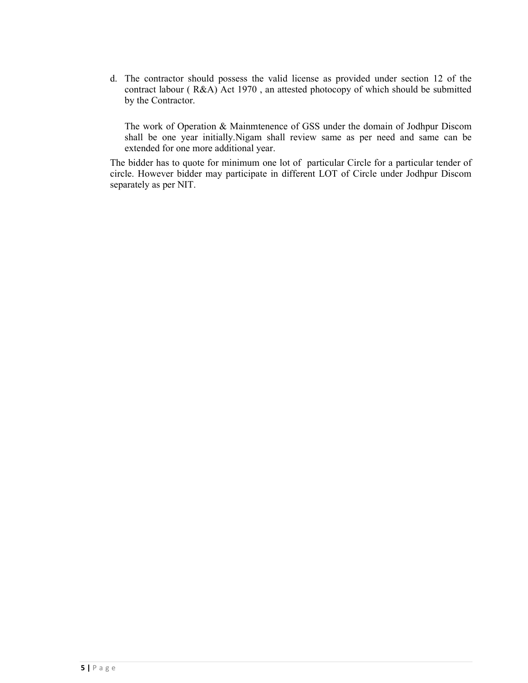d. The contractor should possess the valid license as provided under section 12 of the contract labour ( R&A) Act 1970 , an attested photocopy of which should be submitted by the Contractor.

The work of Operation & Mainmtenence of GSS under the domain of Jodhpur Discom shall be one year initially.Nigam shall review same as per need and same can be extended for one more additional year.

The bidder has to quote for minimum one lot of particular Circle for a particular tender of circle. However bidder may participate in different LOT of Circle under Jodhpur Discom separately as per NIT.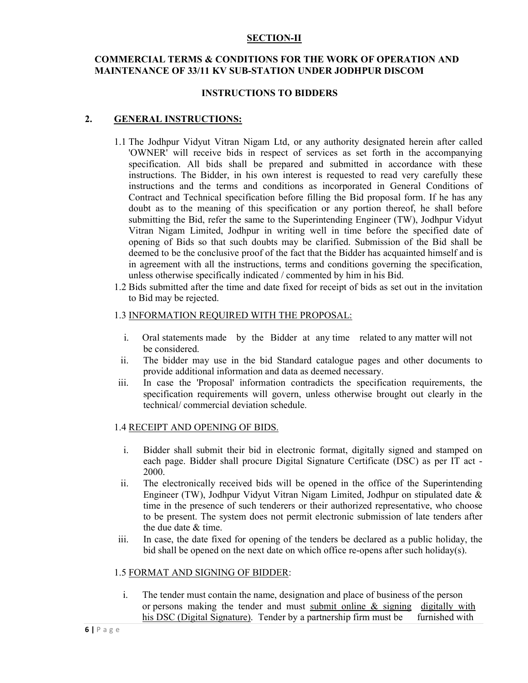#### **SECTION-II**

#### **COMMERCIAL TERMS & CONDITIONS FOR THE WORK OF OPERATION AND MAINTENANCE OF 33/11 KV SUB-STATION UNDER JODHPUR DISCOM**

#### **INSTRUCTIONS TO BIDDERS**

#### **2. GENERAL INSTRUCTIONS:**

- 1.1 The Jodhpur Vidyut Vitran Nigam Ltd, or any authority designated herein after called 'OWNER' will receive bids in respect of services as set forth in the accompanying specification. All bids shall be prepared and submitted in accordance with these instructions. The Bidder, in his own interest is requested to read very carefully these instructions and the terms and conditions as incorporated in General Conditions of Contract and Technical specification before filling the Bid proposal form. If he has any doubt as to the meaning of this specification or any portion thereof, he shall before submitting the Bid, refer the same to the Superintending Engineer (TW), Jodhpur Vidyut Vitran Nigam Limited, Jodhpur in writing well in time before the specified date of opening of Bids so that such doubts may be clarified. Submission of the Bid shall be deemed to be the conclusive proof of the fact that the Bidder has acquainted himself and is in agreement with all the instructions, terms and conditions governing the specification, unless otherwise specifically indicated / commented by him in his Bid.
- 1.2 Bids submitted after the time and date fixed for receipt of bids as set out in the invitation to Bid may be rejected.

#### 1.3 INFORMATION REQUIRED WITH THE PROPOSAL:

- i. Oral statements made by the Bidder at any time related to any matter will not be considered.
- ii. The bidder may use in the bid Standard catalogue pages and other documents to provide additional information and data as deemed necessary.
- iii. In case the 'Proposal' information contradicts the specification requirements, the specification requirements will govern, unless otherwise brought out clearly in the technical/ commercial deviation schedule.

#### 1.4 RECEIPT AND OPENING OF BIDS.

- i. Bidder shall submit their bid in electronic format, digitally signed and stamped on each page. Bidder shall procure Digital Signature Certificate (DSC) as per IT act - 2000.
- ii. The electronically received bids will be opened in the office of the Superintending Engineer (TW), Jodhpur Vidyut Vitran Nigam Limited, Jodhpur on stipulated date & time in the presence of such tenderers or their authorized representative, who choose to be present. The system does not permit electronic submission of late tenders after the due date & time.
- iii. In case, the date fixed for opening of the tenders be declared as a public holiday, the bid shall be opened on the next date on which office re-opens after such holiday(s).

#### 1.5 FORMAT AND SIGNING OF BIDDER:

i. The tender must contain the name, designation and place of business of the person or persons making the tender and must submit online  $\&$  signing digitally with his DSC (Digital Signature). Tender by a partnership firm must be furnished with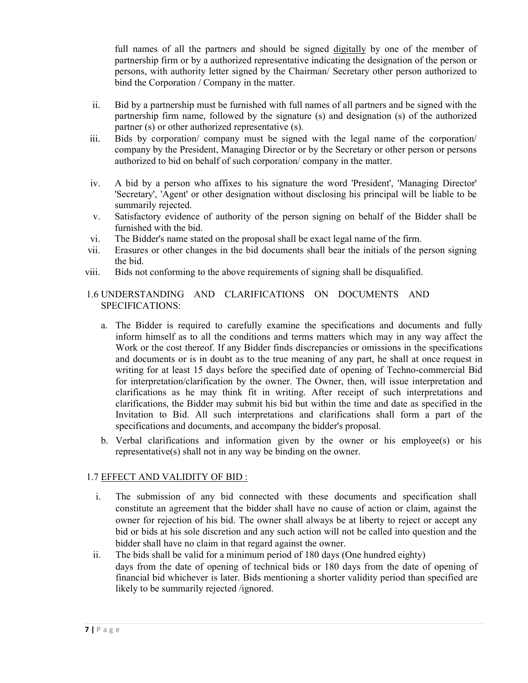full names of all the partners and should be signed digitally by one of the member of partnership firm or by a authorized representative indicating the designation of the person or persons, with authority letter signed by the Chairman/ Secretary other person authorized to bind the Corporation / Company in the matter.

- ii. Bid by a partnership must be furnished with full names of all partners and be signed with the partnership firm name, followed by the signature (s) and designation (s) of the authorized partner (s) or other authorized representative (s).
- iii. Bids by corporation/ company must be signed with the legal name of the corporation/ company by the President, Managing Director or by the Secretary or other person or persons authorized to bid on behalf of such corporation/ company in the matter.
- iv. A bid by a person who affixes to his signature the word 'President', 'Managing Director' 'Secretary', 'Agent' or other designation without disclosing his principal will be liable to be summarily rejected.
- v. Satisfactory evidence of authority of the person signing on behalf of the Bidder shall be furnished with the bid.
- vi. The Bidder's name stated on the proposal shall be exact legal name of the firm.
- vii. Erasures or other changes in the bid documents shall bear the initials of the person signing the bid.
- viii. Bids not conforming to the above requirements of signing shall be disqualified.

# 1.6 UNDERSTANDING AND CLARIFICATIONS ON DOCUMENTS AND SPECIFICATIONS:

- a. The Bidder is required to carefully examine the specifications and documents and fully inform himself as to all the conditions and terms matters which may in any way affect the Work or the cost thereof. If any Bidder finds discrepancies or omissions in the specifications and documents or is in doubt as to the true meaning of any part, he shall at once request in writing for at least 15 days before the specified date of opening of Techno-commercial Bid for interpretation/clarification by the owner. The Owner, then, will issue interpretation and clarifications as he may think fit in writing. After receipt of such interpretations and clarifications, the Bidder may submit his bid but within the time and date as specified in the Invitation to Bid. All such interpretations and clarifications shall form a part of the specifications and documents, and accompany the bidder's proposal.
- b. Verbal clarifications and information given by the owner or his employee(s) or his representative(s) shall not in any way be binding on the owner.

### 1.7 EFFECT AND VALIDITY OF BID :

- i. The submission of any bid connected with these documents and specification shall constitute an agreement that the bidder shall have no cause of action or claim, against the owner for rejection of his bid. The owner shall always be at liberty to reject or accept any bid or bids at his sole discretion and any such action will not be called into question and the bidder shall have no claim in that regard against the owner.
- ii. The bids shall be valid for a minimum period of 180 days (One hundred eighty) days from the date of opening of technical bids or 180 days from the date of opening of financial bid whichever is later. Bids mentioning a shorter validity period than specified are likely to be summarily rejected /ignored.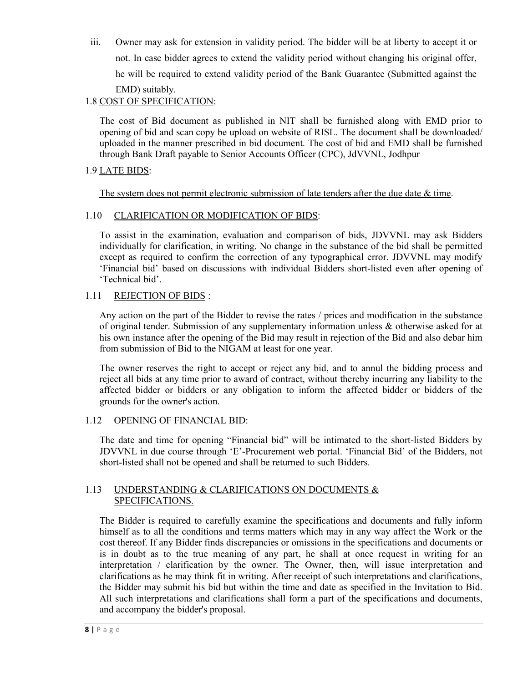iii. Owner may ask for extension in validity period. The bidder will be at liberty to accept it or not. In case bidder agrees to extend the validity period without changing his original offer, he will be required to extend validity period of the Bank Guarantee (Submitted against the EMD) suitably.

# 1.8 COST OF SPECIFICATION:

The cost of Bid document as published in NIT shall be furnished along with EMD prior to opening of bid and scan copy be upload on website of RISL. The document shall be downloaded/ uploaded in the manner prescribed in bid document. The cost of bid and EMD shall be furnished through Bank Draft payable to Senior Accounts Officer (CPC), JdVVNL, Jodhpur

# 1.9 LATE BIDS:

The system does not permit electronic submission of late tenders after the due date & time.

## 1.10 CLARIFICATION OR MODIFICATION OF BIDS:

To assist in the examination, evaluation and comparison of bids, JDVVNL may ask Bidders individually for clarification, in writing. No change in the substance of the bid shall be permitted except as required to confirm the correction of any typographical error. JDVVNL may modify 'Financial bid' based on discussions with individual Bidders short-listed even after opening of 'Technical bid'.

## 1.11 REJECTION OF BIDS :

Any action on the part of the Bidder to revise the rates / prices and modification in the substance of original tender. Submission of any supplementary information unless & otherwise asked for at his own instance after the opening of the Bid may result in rejection of the Bid and also debar him from submission of Bid to the NIGAM at least for one year.

The owner reserves the right to accept or reject any bid, and to annul the bidding process and reject all bids at any time prior to award of contract, without thereby incurring any liability to the affected bidder or bidders or any obligation to inform the affected bidder or bidders of the grounds for the owner's action.

# 1.12 OPENING OF FINANCIAL BID:

The date and time for opening "Financial bid" will be intimated to the short-listed Bidders by JDVVNL in due course through 'E'-Procurement web portal. 'Financial Bid' of the Bidders, not short-listed shall not be opened and shall be returned to such Bidders.

### 1.13 UNDERSTANDING & CLARIFICATIONS ON DOCUMENTS & SPECIFICATIONS.

The Bidder is required to carefully examine the specifications and documents and fully inform himself as to all the conditions and terms matters which may in any way affect the Work or the cost thereof. If any Bidder finds discrepancies or omissions in the specifications and documents or is in doubt as to the true meaning of any part, he shall at once request in writing for an interpretation / clarification by the owner. The Owner, then, will issue interpretation and clarifications as he may think fit in writing. After receipt of such interpretations and clarifications, the Bidder may submit his bid but within the time and date as specified in the Invitation to Bid. All such interpretations and clarifications shall form a part of the specifications and documents, and accompany the bidder's proposal.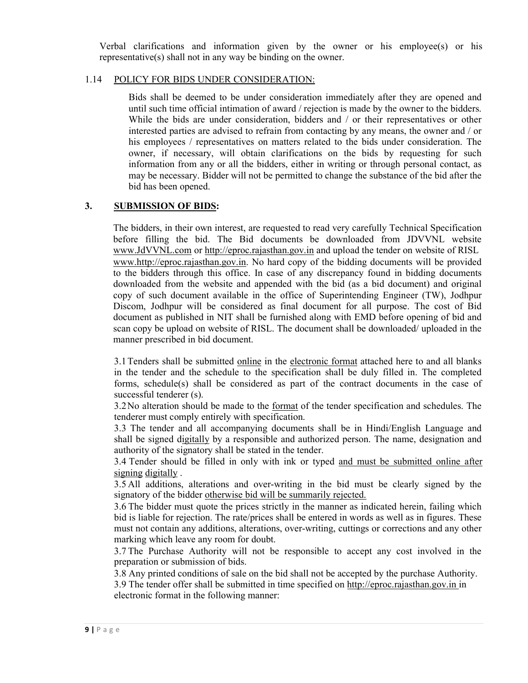Verbal clarifications and information given by the owner or his employee(s) or his representative(s) shall not in any way be binding on the owner.

### 1.14 POLICY FOR BIDS UNDER CONSIDERATION:

Bids shall be deemed to be under consideration immediately after they are opened and until such time official intimation of award / rejection is made by the owner to the bidders. While the bids are under consideration, bidders and / or their representatives or other interested parties are advised to refrain from contacting by any means, the owner and / or his employees / representatives on matters related to the bids under consideration. The owner, if necessary, will obtain clarifications on the bids by requesting for such information from any or all the bidders, either in writing or through personal contact, as may be necessary. Bidder will not be permitted to change the substance of the bid after the bid has been opened.

# **3. SUBMISSION OF BIDS:**

The bidders, in their own interest, are requested to read very carefully Technical Specification before filling the bid. The Bid documents be downloaded from JDVVNL website www.JdVVNL.com or http://eproc.rajasthan.gov.in and upload the tender on website of RISL www.http://eproc.rajasthan.gov.in. No hard copy of the bidding documents will be provided to the bidders through this office. In case of any discrepancy found in bidding documents downloaded from the website and appended with the bid (as a bid document) and original copy of such document available in the office of Superintending Engineer (TW), Jodhpur Discom, Jodhpur will be considered as final document for all purpose. The cost of Bid document as published in NIT shall be furnished along with EMD before opening of bid and scan copy be upload on website of RISL. The document shall be downloaded/ uploaded in the manner prescribed in bid document.

3.1Tenders shall be submitted online in the electronic format attached here to and all blanks in the tender and the schedule to the specification shall be duly filled in. The completed forms, schedule(s) shall be considered as part of the contract documents in the case of successful tenderer (s).

3.2No alteration should be made to the format of the tender specification and schedules. The tenderer must comply entirely with specification.

3.3 The tender and all accompanying documents shall be in Hindi/English Language and shall be signed digitally by a responsible and authorized person. The name, designation and authority of the signatory shall be stated in the tender.

3.4 Tender should be filled in only with ink or typed and must be submitted online after signing digitally .

3.5 All additions, alterations and over-writing in the bid must be clearly signed by the signatory of the bidder otherwise bid will be summarily rejected.

3.6 The bidder must quote the prices strictly in the manner as indicated herein, failing which bid is liable for rejection. The rate/prices shall be entered in words as well as in figures. These must not contain any additions, alterations, over-writing, cuttings or corrections and any other marking which leave any room for doubt.

3.7 The Purchase Authority will not be responsible to accept any cost involved in the preparation or submission of bids.

3.8 Any printed conditions of sale on the bid shall not be accepted by the purchase Authority.

3.9 The tender offer shall be submitted in time specified on http://eproc.rajasthan.gov.in in electronic format in the following manner: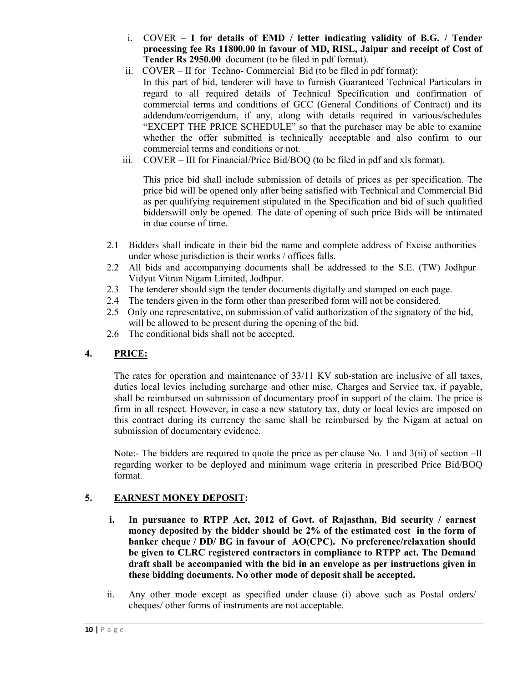- i. COVER  **I for details of EMD / letter indicating validity of B.G. / Tender processing fee Rs 11800.00 in favour of MD, RISL, Jaipur and receipt of Cost of Tender Rs 2950.00** document (to be filed in pdf format).
- ii. COVER II for Techno- Commercial Bid (to be filed in pdf format):
	- In this part of bid, tenderer will have to furnish Guaranteed Technical Particulars in regard to all required details of Technical Specification and confirmation of commercial terms and conditions of GCC (General Conditions of Contract) and its addendum/corrigendum, if any, along with details required in various/schedules "EXCEPT THE PRICE SCHEDULE" so that the purchaser may be able to examine whether the offer submitted is technically acceptable and also confirm to our commercial terms and conditions or not.
- iii. COVER III for Financial/Price Bid/BOQ (to be filed in pdf and xls format).

This price bid shall include submission of details of prices as per specification. The price bid will be opened only after being satisfied with Technical and Commercial Bid as per qualifying requirement stipulated in the Specification and bid of such qualified bidderswill only be opened. The date of opening of such price Bids will be intimated in due course of time.

- 2.1 Bidders shall indicate in their bid the name and complete address of Excise authorities under whose jurisdiction is their works / offices falls.
- 2.2 All bids and accompanying documents shall be addressed to the S.E. (TW) Jodhpur Vidyut Vitran Nigam Limited, Jodhpur.
- 2.3 The tenderer should sign the tender documents digitally and stamped on each page.
- 2.4 The tenders given in the form other than prescribed form will not be considered.
- 2.5 Only one representative, on submission of valid authorization of the signatory of the bid, will be allowed to be present during the opening of the bid.
- 2.6 The conditional bids shall not be accepted.

# **4. PRICE:**

The rates for operation and maintenance of 33/11 KV sub-station are inclusive of all taxes, duties local levies including surcharge and other misc. Charges and Service tax, if payable, shall be reimbursed on submission of documentary proof in support of the claim. The price is firm in all respect. However, in case a new statutory tax, duty or local levies are imposed on this contract during its currency the same shall be reimbursed by the Nigam at actual on submission of documentary evidence.

Note:- The bidders are required to quote the price as per clause No. 1 and 3(ii) of section –II regarding worker to be deployed and minimum wage criteria in prescribed Price Bid/BOQ format.

# **5. EARNEST MONEY DEPOSIT:**

- **i. In pursuance to RTPP Act, 2012 of Govt. of Rajasthan, Bid security / earnest money deposited by the bidder should be 2% of the estimated cost in the form of banker cheque / DD/ BG in favour of AO(CPC). No preference/relaxation should be given to CLRC registered contractors in compliance to RTPP act. The Demand draft shall be accompanied with the bid in an envelope as per instructions given in these bidding documents. No other mode of deposit shall be accepted.**
- ii. Any other mode except as specified under clause (i) above such as Postal orders/ cheques/ other forms of instruments are not acceptable.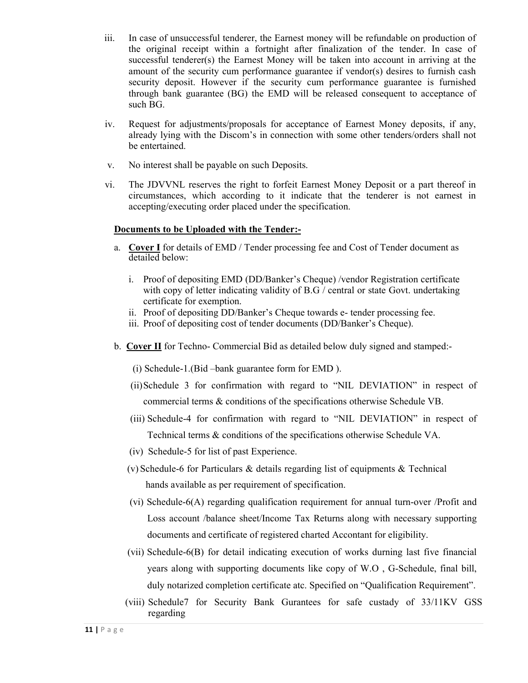- iii. In case of unsuccessful tenderer, the Earnest money will be refundable on production of the original receipt within a fortnight after finalization of the tender. In case of successful tenderer(s) the Earnest Money will be taken into account in arriving at the amount of the security cum performance guarantee if vendor(s) desires to furnish cash security deposit. However if the security cum performance guarantee is furnished through bank guarantee (BG) the EMD will be released consequent to acceptance of such BG.
- iv. Request for adjustments/proposals for acceptance of Earnest Money deposits, if any, already lying with the Discom's in connection with some other tenders/orders shall not be entertained.
- v. No interest shall be payable on such Deposits.
- vi. The JDVVNL reserves the right to forfeit Earnest Money Deposit or a part thereof in circumstances, which according to it indicate that the tenderer is not earnest in accepting/executing order placed under the specification.

### **Documents to be Uploaded with the Tender:-**

- a. **Cover I** for details of EMD / Tender processing fee and Cost of Tender document as detailed below:
	- i. Proof of depositing EMD (DD/Banker's Cheque) /vendor Registration certificate with copy of letter indicating validity of B.G / central or state Govt. undertaking certificate for exemption.
	- ii. Proof of depositing DD/Banker's Cheque towards e- tender processing fee.
	- iii. Proof of depositing cost of tender documents (DD/Banker's Cheque).
- b. **Cover II** for Techno- Commercial Bid as detailed below duly signed and stamped:-
	- (i) Schedule-1.(Bid –bank guarantee form for EMD ).
	- (ii)Schedule 3 for confirmation with regard to "NIL DEVIATION" in respect of commercial terms & conditions of the specifications otherwise Schedule VB.
	- (iii) Schedule-4 for confirmation with regard to "NIL DEVIATION" in respect of Technical terms & conditions of the specifications otherwise Schedule VA.
	- (iv) Schedule-5 for list of past Experience.
	- (v) Schedule-6 for Particulars & details regarding list of equipments & Technical hands available as per requirement of specification.
	- (vi) Schedule-6(A) regarding qualification requirement for annual turn-over /Profit and Loss account /balance sheet/Income Tax Returns along with necessary supporting documents and certificate of registered charted Accontant for eligibility.
	- (vii) Schedule-6(B) for detail indicating execution of works durning last five financial years along with supporting documents like copy of W.O , G-Schedule, final bill, duly notarized completion certificate atc. Specified on "Qualification Requirement".
	- (viii) Schedule7 for Security Bank Gurantees for safe custady of 33/11KV GSS regarding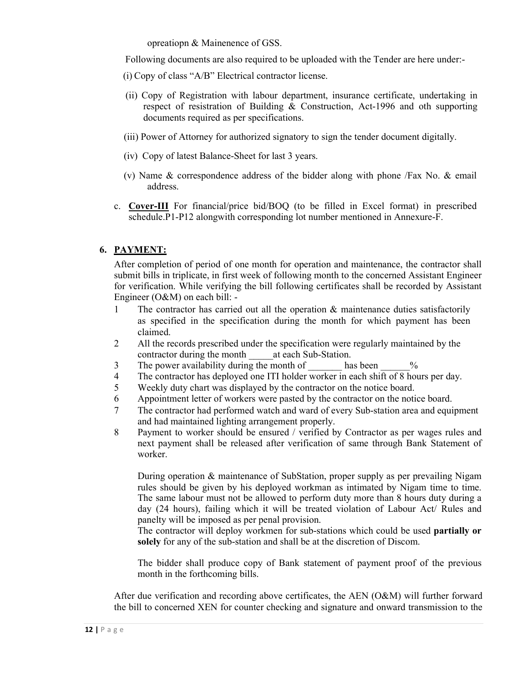opreatiopn & Mainenence of GSS.

Following documents are also required to be uploaded with the Tender are here under:-

- (i) Copy of class "A/B" Electrical contractor license.
- (ii) Copy of Registration with labour department, insurance certificate, undertaking in respect of resistration of Building & Construction, Act-1996 and oth supporting documents required as per specifications.
- (iii) Power of Attorney for authorized signatory to sign the tender document digitally.
- (iv) Copy of latest Balance-Sheet for last 3 years.
- (v) Name & correspondence address of the bidder along with phone /Fax No. & email address.
- c. **Cover-III** For financial/price bid/BOQ (to be filled in Excel format) in prescribed schedule.P1-P12 alongwith corresponding lot number mentioned in Annexure-F.

### **6. PAYMENT:**

After completion of period of one month for operation and maintenance, the contractor shall submit bills in triplicate, in first week of following month to the concerned Assistant Engineer for verification. While verifying the bill following certificates shall be recorded by Assistant Engineer (O&M) on each bill: -

- 1 The contractor has carried out all the operation & maintenance duties satisfactorily as specified in the specification during the month for which payment has been claimed.
- 2 All the records prescribed under the specification were regularly maintained by the contractor during the month at each Sub-Station.
- 3 The power availability during the month of has been  $\%$
- 4 The contractor has deployed one ITI holder worker in each shift of 8 hours per day.
- 5 Weekly duty chart was displayed by the contractor on the notice board.
- 6 Appointment letter of workers were pasted by the contractor on the notice board.
- 7 The contractor had performed watch and ward of every Sub-station area and equipment and had maintained lighting arrangement properly.
- 8 Payment to worker should be ensured / verified by Contractor as per wages rules and next payment shall be released after verification of same through Bank Statement of worker.

During operation & maintenance of SubStation, proper supply as per prevailing Nigam rules should be given by his deployed workman as intimated by Nigam time to time. The same labour must not be allowed to perform duty more than 8 hours duty during a day (24 hours), failing which it will be treated violation of Labour Act/ Rules and panelty will be imposed as per penal provision.

The contractor will deploy workmen for sub-stations which could be used **partially or solely** for any of the sub-station and shall be at the discretion of Discom.

The bidder shall produce copy of Bank statement of payment proof of the previous month in the forthcoming bills.

After due verification and recording above certificates, the AEN (O&M) will further forward the bill to concerned XEN for counter checking and signature and onward transmission to the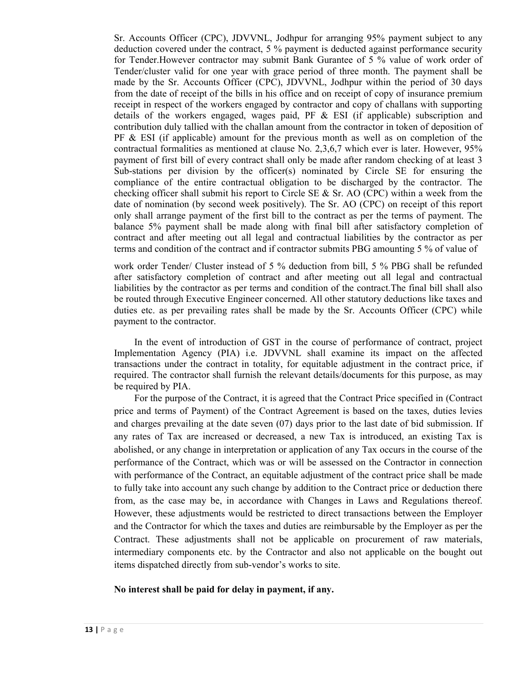Sr. Accounts Officer (CPC), JDVVNL, Jodhpur for arranging 95% payment subject to any deduction covered under the contract, 5 % payment is deducted against performance security for Tender.However contractor may submit Bank Gurantee of 5 % value of work order of Tender/cluster valid for one year with grace period of three month. The payment shall be made by the Sr. Accounts Officer (CPC), JDVVNL, Jodhpur within the period of 30 days from the date of receipt of the bills in his office and on receipt of copy of insurance premium receipt in respect of the workers engaged by contractor and copy of challans with supporting details of the workers engaged, wages paid, PF  $\&$  ESI (if applicable) subscription and contribution duly tallied with the challan amount from the contractor in token of deposition of PF & ESI (if applicable) amount for the previous month as well as on completion of the contractual formalities as mentioned at clause No. 2,3,6,7 which ever is later. However, 95% payment of first bill of every contract shall only be made after random checking of at least 3 Sub-stations per division by the officer(s) nominated by Circle SE for ensuring the compliance of the entire contractual obligation to be discharged by the contractor. The checking officer shall submit his report to Circle SE & Sr. AO (CPC) within a week from the date of nomination (by second week positively). The Sr. AO (CPC) on receipt of this report only shall arrange payment of the first bill to the contract as per the terms of payment. The balance 5% payment shall be made along with final bill after satisfactory completion of contract and after meeting out all legal and contractual liabilities by the contractor as per terms and condition of the contract and if contractor submits PBG amounting 5 % of value of

work order Tender/ Cluster instead of 5 % deduction from bill, 5 % PBG shall be refunded after satisfactory completion of contract and after meeting out all legal and contractual liabilities by the contractor as per terms and condition of the contract.The final bill shall also be routed through Executive Engineer concerned. All other statutory deductions like taxes and duties etc. as per prevailing rates shall be made by the Sr. Accounts Officer (CPC) while payment to the contractor.

In the event of introduction of GST in the course of performance of contract, project Implementation Agency (PIA) i.e. JDVVNL shall examine its impact on the affected transactions under the contract in totality, for equitable adjustment in the contract price, if required. The contractor shall furnish the relevant details/documents for this purpose, as may be required by PIA.

For the purpose of the Contract, it is agreed that the Contract Price specified in (Contract price and terms of Payment) of the Contract Agreement is based on the taxes, duties levies and charges prevailing at the date seven (07) days prior to the last date of bid submission. If any rates of Tax are increased or decreased, a new Tax is introduced, an existing Tax is abolished, or any change in interpretation or application of any Tax occurs in the course of the performance of the Contract, which was or will be assessed on the Contractor in connection with performance of the Contract, an equitable adjustment of the contract price shall be made to fully take into account any such change by addition to the Contract price or deduction there from, as the case may be, in accordance with Changes in Laws and Regulations thereof. However, these adjustments would be restricted to direct transactions between the Employer and the Contractor for which the taxes and duties are reimbursable by the Employer as per the Contract. These adjustments shall not be applicable on procurement of raw materials, intermediary components etc. by the Contractor and also not applicable on the bought out items dispatched directly from sub-vendor's works to site.

#### **No interest shall be paid for delay in payment, if any.**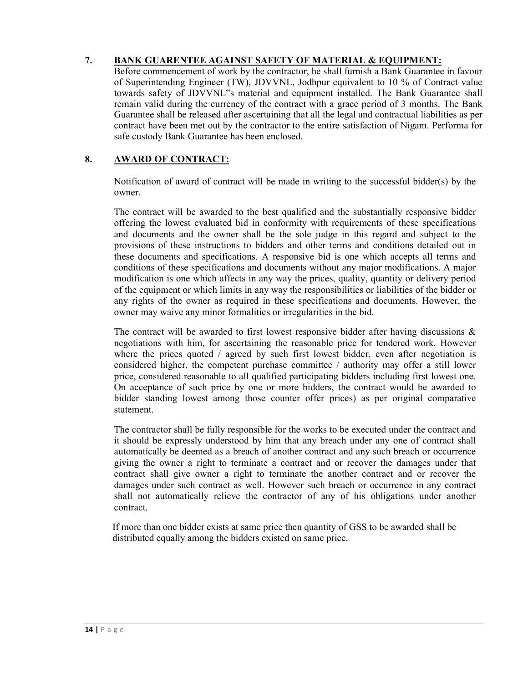# **7. BANK GUARENTEE AGAINST SAFETY OF MATERIAL & EQUIPMENT:**

Before commencement of work by the contractor, he shall furnish a Bank Guarantee in favour of Superintending Engineer (TW), JDVVNL, Jodhpur equivalent to 10 % of Contract value towards safety of JDVVNL"s material and equipment installed. The Bank Guarantee shall remain valid during the currency of the contract with a grace period of 3 months. The Bank Guarantee shall be released after ascertaining that all the legal and contractual liabilities as per contract have been met out by the contractor to the entire satisfaction of Nigam. Performa for safe custody Bank Guarantee has been enclosed.

# **8. AWARD OF CONTRACT:**

Notification of award of contract will be made in writing to the successful bidder(s) by the owner.

The contract will be awarded to the best qualified and the substantially responsive bidder offering the lowest evaluated bid in conformity with requirements of these specifications and documents and the owner shall be the sole judge in this regard and subject to the provisions of these instructions to bidders and other terms and conditions detailed out in these documents and specifications. A responsive bid is one which accepts all terms and conditions of these specifications and documents without any major modifications. A major modification is one which affects in any way the prices, quality, quantity or delivery period of the equipment or which limits in any way the responsibilities or liabilities of the bidder or any rights of the owner as required in these specifications and documents. However, the owner may waive any minor formalities or irregularities in the bid.

The contract will be awarded to first lowest responsive bidder after having discussions  $\&$ negotiations with him, for ascertaining the reasonable price for tendered work. However where the prices quoted  $/$  agreed by such first lowest bidder, even after negotiation is considered higher, the competent purchase committee / authority may offer a still lower price, considered reasonable to all qualified participating bidders including first lowest one. On acceptance of such price by one or more bidders, the contract would be awarded to bidder standing lowest among those counter offer prices) as per original comparative statement.

The contractor shall be fully responsible for the works to be executed under the contract and it should be expressly understood by him that any breach under any one of contract shall automatically be deemed as a breach of another contract and any such breach or occurrence giving the owner a right to terminate a contract and or recover the damages under that contract shall give owner a right to terminate the another contract and or recover the damages under such contract as well. However such breach or occurrence in any contract shall not automatically relieve the contractor of any of his obligations under another contract.

If more than one bidder exists at same price then quantity of GSS to be awarded shall be distributed equally among the bidders existed on same price.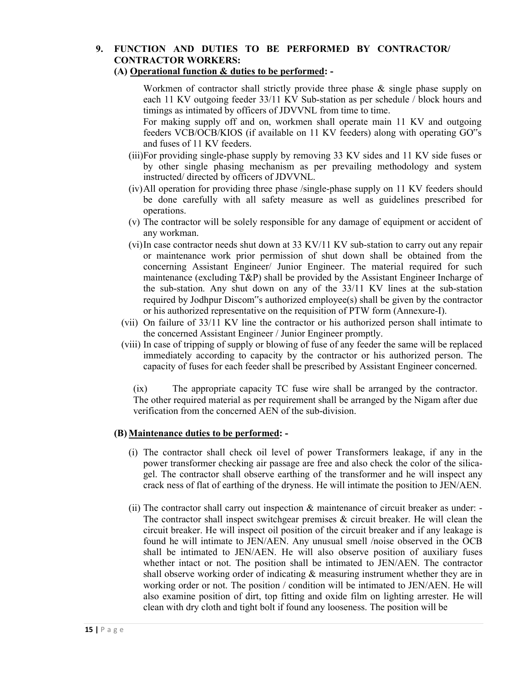# **9. FUNCTION AND DUTIES TO BE PERFORMED BY CONTRACTOR/ CONTRACTOR WORKERS:**

### **(A) Operational function & duties to be performed: -**

Workmen of contractor shall strictly provide three phase & single phase supply on each 11 KV outgoing feeder 33/11 KV Sub-station as per schedule / block hours and timings as intimated by officers of JDVVNL from time to time.

For making supply off and on, workmen shall operate main 11 KV and outgoing feeders VCB/OCB/KIOS (if available on 11 KV feeders) along with operating GO"s and fuses of 11 KV feeders.

- (iii)For providing single-phase supply by removing 33 KV sides and 11 KV side fuses or by other single phasing mechanism as per prevailing methodology and system instructed/ directed by officers of JDVVNL.
- (iv)All operation for providing three phase /single-phase supply on 11 KV feeders should be done carefully with all safety measure as well as guidelines prescribed for operations.
- (v) The contractor will be solely responsible for any damage of equipment or accident of any workman.
- (vi)In case contractor needs shut down at 33 KV/11 KV sub-station to carry out any repair or maintenance work prior permission of shut down shall be obtained from the concerning Assistant Engineer/ Junior Engineer. The material required for such maintenance (excluding T&P) shall be provided by the Assistant Engineer Incharge of the sub-station. Any shut down on any of the 33/11 KV lines at the sub-station required by Jodhpur Discom"s authorized employee(s) shall be given by the contractor or his authorized representative on the requisition of PTW form (Annexure-I).
- (vii) On failure of 33/11 KV line the contractor or his authorized person shall intimate to the concerned Assistant Engineer / Junior Engineer promptly.
- (viii) In case of tripping of supply or blowing of fuse of any feeder the same will be replaced immediately according to capacity by the contractor or his authorized person. The capacity of fuses for each feeder shall be prescribed by Assistant Engineer concerned.

(ix) The appropriate capacity TC fuse wire shall be arranged by the contractor. The other required material as per requirement shall be arranged by the Nigam after due verification from the concerned AEN of the sub-division.

### **(B) Maintenance duties to be performed: -**

- (i) The contractor shall check oil level of power Transformers leakage, if any in the power transformer checking air passage are free and also check the color of the silicagel. The contractor shall observe earthing of the transformer and he will inspect any crack ness of flat of earthing of the dryness. He will intimate the position to JEN/AEN.
- (ii) The contractor shall carry out inspection  $\&$  maintenance of circuit breaker as under: The contractor shall inspect switchgear premises & circuit breaker. He will clean the circuit breaker. He will inspect oil position of the circuit breaker and if any leakage is found he will intimate to JEN/AEN. Any unusual smell /noise observed in the OCB shall be intimated to JEN/AEN. He will also observe position of auxiliary fuses whether intact or not. The position shall be intimated to JEN/AEN. The contractor shall observe working order of indicating & measuring instrument whether they are in working order or not. The position / condition will be intimated to JEN/AEN. He will also examine position of dirt, top fitting and oxide film on lighting arrester. He will clean with dry cloth and tight bolt if found any looseness. The position will be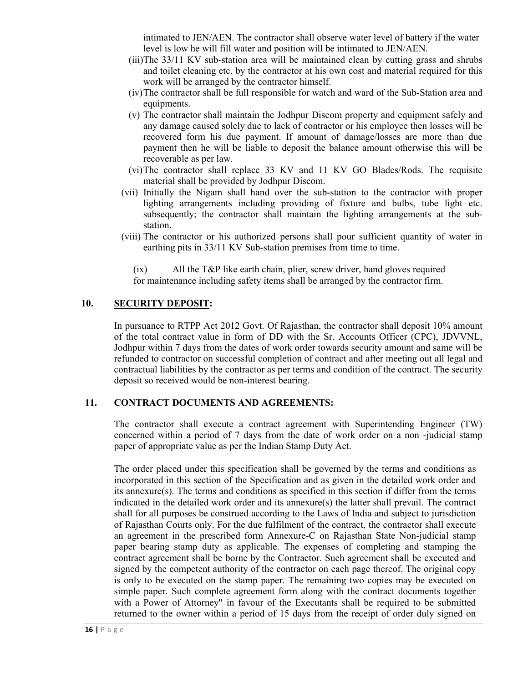intimated to JEN/AEN. The contractor shall observe water level of battery if the water level is low he will fill water and position will be intimated to JEN/AEN.

- (iii)The 33/11 KV sub-station area will be maintained clean by cutting grass and shrubs and toilet cleaning etc. by the contractor at his own cost and material required for this work will be arranged by the contractor himself.
- (iv)The contractor shall be full responsible for watch and ward of the Sub-Station area and equipments.
- (v) The contractor shall maintain the Jodhpur Discom property and equipment safely and any damage caused solely due to lack of contractor or his employee then losses will be recovered form his due payment. If amount of damage/losses are more than due payment then he will be liable to deposit the balance amount otherwise this will be recoverable as per law.
- (vi)The contractor shall replace 33 KV and 11 KV GO Blades/Rods. The requisite material shall be provided by Jodhpur Discom.
- (vii) Initially the Nigam shall hand over the sub-station to the contractor with proper lighting arrangements including providing of fixture and bulbs, tube light etc. subsequently; the contractor shall maintain the lighting arrangements at the substation.
- (viii) The contractor or his authorized persons shall pour sufficient quantity of water in earthing pits in 33/11 KV Sub-station premises from time to time.

(ix) All the T&P like earth chain, plier, screw driver, hand gloves required for maintenance including safety items shall be arranged by the contractor firm.

### **10. SECURITY DEPOSIT:**

In pursuance to RTPP Act 2012 Govt. Of Rajasthan, the contractor shall deposit 10% amount of the total contract value in form of DD with the Sr. Accounts Officer (CPC), JDVVNL, Jodhpur within 7 days from the dates of work order towards security amount and same will be refunded to contractor on successful completion of contract and after meeting out all legal and contractual liabilities by the contractor as per terms and condition of the contract. The security deposit so received would be non-interest bearing.

#### **11. CONTRACT DOCUMENTS AND AGREEMENTS:**

The contractor shall execute a contract agreement with Superintending Engineer (TW) concerned within a period of 7 days from the date of work order on a non -judicial stamp paper of appropriate value as per the Indian Stamp Duty Act.

The order placed under this specification shall be governed by the terms and conditions as incorporated in this section of the Specification and as given in the detailed work order and its annexure(s). The terms and conditions as specified in this section if differ from the terms indicated in the detailed work order and its annexure(s) the latter shall prevail. The contract shall for all purposes be construed according to the Laws of India and subject to jurisdiction of Rajasthan Courts only. For the due fulfilment of the contract, the contractor shall execute an agreement in the prescribed form Annexure-C on Rajasthan State Non-judicial stamp paper bearing stamp duty as applicable. The expenses of completing and stamping the contract agreement shall be borne by the Contractor. Such agreement shall be executed and signed by the competent authority of the contractor on each page thereof. The original copy is only to be executed on the stamp paper. The remaining two copies may be executed on simple paper. Such complete agreement form along with the contract documents together with a Power of Attorney" in favour of the Executants shall be required to be submitted returned to the owner within a period of 15 days from the receipt of order duly signed on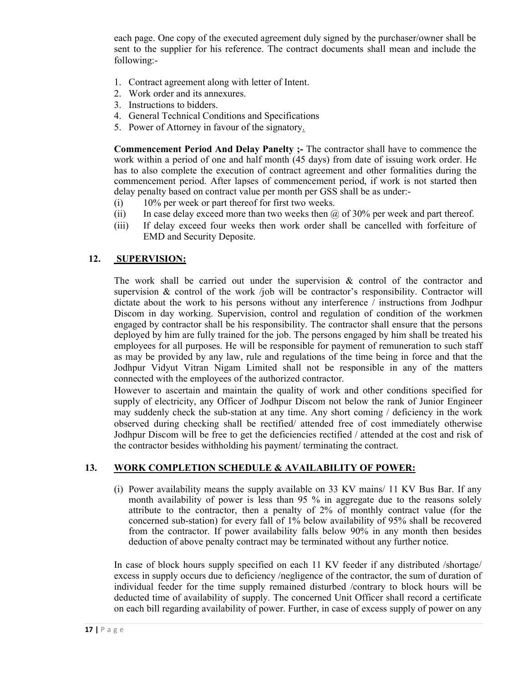each page. One copy of the executed agreement duly signed by the purchaser/owner shall be sent to the supplier for his reference. The contract documents shall mean and include the following:-

- 1. Contract agreement along with letter of Intent.
- 2. Work order and its annexures.
- 3. Instructions to bidders.
- 4. General Technical Conditions and Specifications
- 5. Power of Attorney in favour of the signatory.

**Commencement Period And Delay Panelty ;-** The contractor shall have to commence the work within a period of one and half month (45 days) from date of issuing work order. He has to also complete the execution of contract agreement and other formalities during the commencement period. After lapses of commencement period, if work is not started then delay penalty based on contract value per month per GSS shall be as under:-

- (i) 10% per week or part thereof for first two weeks.
- (ii) In case delay exceed more than two weeks then  $\omega$  of 30% per week and part thereof.
- (iii) If delay exceed four weeks then work order shall be cancelled with forfeiture of EMD and Security Deposite.

### **12. SUPERVISION:**

The work shall be carried out under the supervision  $\&$  control of the contractor and supervision  $\&$  control of the work /job will be contractor's responsibility. Contractor will dictate about the work to his persons without any interference / instructions from Jodhpur Discom in day working. Supervision, control and regulation of condition of the workmen engaged by contractor shall be his responsibility. The contractor shall ensure that the persons deployed by him are fully trained for the job. The persons engaged by him shall be treated his employees for all purposes. He will be responsible for payment of remuneration to such staff as may be provided by any law, rule and regulations of the time being in force and that the Jodhpur Vidyut Vitran Nigam Limited shall not be responsible in any of the matters connected with the employees of the authorized contractor.

However to ascertain and maintain the quality of work and other conditions specified for supply of electricity, any Officer of Jodhpur Discom not below the rank of Junior Engineer may suddenly check the sub-station at any time. Any short coming / deficiency in the work observed during checking shall be rectified/ attended free of cost immediately otherwise Jodhpur Discom will be free to get the deficiencies rectified / attended at the cost and risk of the contractor besides withholding his payment/ terminating the contract.

### **13. WORK COMPLETION SCHEDULE & AVAILABILITY OF POWER:**

(i) Power availability means the supply available on 33 KV mains/ 11 KV Bus Bar. If any month availability of power is less than 95 % in aggregate due to the reasons solely attribute to the contractor, then a penalty of 2% of monthly contract value (for the concerned sub-station) for every fall of 1% below availability of 95% shall be recovered from the contractor. If power availability falls below 90% in any month then besides deduction of above penalty contract may be terminated without any further notice.

In case of block hours supply specified on each 11 KV feeder if any distributed /shortage/ excess in supply occurs due to deficiency /negligence of the contractor, the sum of duration of individual feeder for the time supply remained disturbed /contrary to block hours will be deducted time of availability of supply. The concerned Unit Officer shall record a certificate on each bill regarding availability of power. Further, in case of excess supply of power on any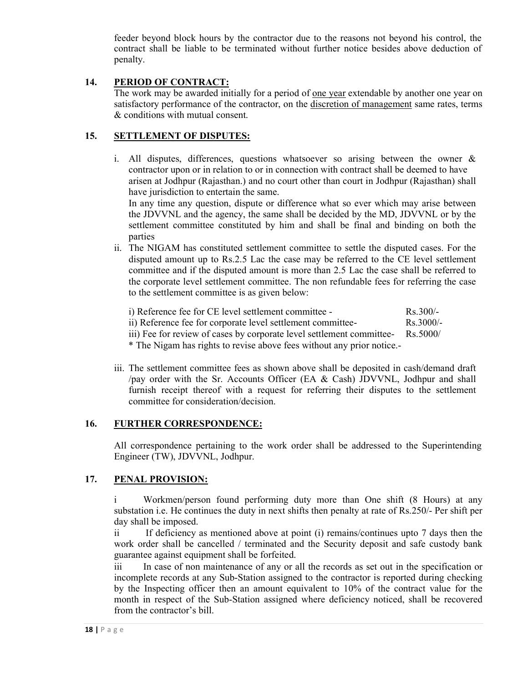feeder beyond block hours by the contractor due to the reasons not beyond his control, the contract shall be liable to be terminated without further notice besides above deduction of penalty.

### **14. PERIOD OF CONTRACT:**

The work may be awarded initially for a period of one year extendable by another one year on satisfactory performance of the contractor, on the discretion of management same rates, terms & conditions with mutual consent.

## **15. SETTLEMENT OF DISPUTES:**

i. All disputes, differences, questions whatsoever so arising between the owner  $\&$ contractor upon or in relation to or in connection with contract shall be deemed to have arisen at Jodhpur (Rajasthan.) and no court other than court in Jodhpur (Rajasthan) shall have jurisdiction to entertain the same.

In any time any question, dispute or difference what so ever which may arise between the JDVVNL and the agency, the same shall be decided by the MD, JDVVNL or by the settlement committee constituted by him and shall be final and binding on both the parties

ii. The NIGAM has constituted settlement committee to settle the disputed cases. For the disputed amount up to Rs.2.5 Lac the case may be referred to the CE level settlement committee and if the disputed amount is more than 2.5 Lac the case shall be referred to the corporate level settlement committee. The non refundable fees for referring the case to the settlement committee is as given below:

| i) Reference fee for CE level settlement committee -                              | $Rs.300/-$         |
|-----------------------------------------------------------------------------------|--------------------|
| ii) Reference fee for corporate level settlement committee-                       | $\text{Rs.}3000/-$ |
| iii) Fee for review of cases by corporate level settlement committee-<br>Rs.5000/ |                    |
| * The Nigam has rights to revise above fees without any prior notice.             |                    |

iii. The settlement committee fees as shown above shall be deposited in cash/demand draft /pay order with the Sr. Accounts Officer (EA & Cash) JDVVNL, Jodhpur and shall furnish receipt thereof with a request for referring their disputes to the settlement committee for consideration/decision.

### **16. FURTHER CORRESPONDENCE:**

All correspondence pertaining to the work order shall be addressed to the Superintending Engineer (TW), JDVVNL, Jodhpur.

### **17. PENAL PROVISION:**

i Workmen/person found performing duty more than One shift (8 Hours) at any substation i.e. He continues the duty in next shifts then penalty at rate of Rs.250/- Per shift per day shall be imposed.

ii If deficiency as mentioned above at point (i) remains/continues upto 7 days then the work order shall be cancelled / terminated and the Security deposit and safe custody bank guarantee against equipment shall be forfeited.

iii In case of non maintenance of any or all the records as set out in the specification or incomplete records at any Sub-Station assigned to the contractor is reported during checking by the Inspecting officer then an amount equivalent to 10% of the contract value for the month in respect of the Sub-Station assigned where deficiency noticed, shall be recovered from the contractor's bill.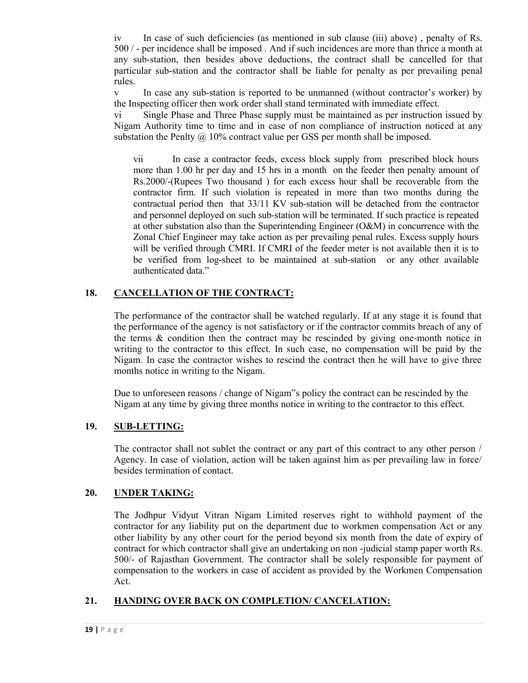iv In case of such deficiencies (as mentioned in sub clause (iii) above) , penalty of Rs. 500 / - per incidence shall be imposed . And if such incidences are more than thrice a month at any sub-station, then besides above deductions, the contract shall be cancelled for that particular sub-station and the contractor shall be liable for penalty as per prevailing penal rules.

v In case any sub-station is reported to be unmanned (without contractor's worker) by the Inspecting officer then work order shall stand terminated with immediate effect.

vi Single Phase and Three Phase supply must be maintained as per instruction issued by Nigam Authority time to time and in case of non compliance of instruction noticed at any substation the Penlty  $\omega$  10% contract value per GSS per month shall be imposed.

vii In case a contractor feeds, excess block supply from prescribed block hours more than 1.00 hr per day and 15 hrs in a month on the feeder then penalty amount of Rs.2000/-(Rupees Two thousand ) for each excess hour shall be recoverable from the contractor firm. If such violation is repeated in more than two months during the contractual period then that 33/11 KV sub-station will be detached from the contractor and personnel deployed on such sub-station will be terminated. If such practice is repeated at other substation also than the Superintending Engineer (O&M) in concurrence with the Zonal Chief Engineer may take action as per prevailing penal rules. Excess supply hours will be verified through CMRI. If CMRI of the feeder meter is not available then it is to be verified from log-sheet to be maintained at sub-station or any other available authenticated data."

# **18. CANCELLATION OF THE CONTRACT:**

The performance of the contractor shall be watched regularly. If at any stage it is found that the performance of the agency is not satisfactory or if the contractor commits breach of any of the terms & condition then the contract may be rescinded by giving one-month notice in writing to the contractor to this effect. In such case, no compensation will be paid by the Nigam. In case the contractor wishes to rescind the contract then he will have to give three months notice in writing to the Nigam.

Due to unforeseen reasons / change of Nigam"s policy the contract can be rescinded by the Nigam at any time by giving three months notice in writing to the contractor to this effect.

# **19. SUB-LETTING:**

The contractor shall not sublet the contract or any part of this contract to any other person / Agency. In case of violation, action will be taken against him as per prevailing law in force/ besides termination of contact.

# **20. UNDER TAKING:**

The Jodhpur Vidyut Vitran Nigam Limited reserves right to withhold payment of the contractor for any liability put on the department due to workmen compensation Act or any other liability by any other court for the period beyond six month from the date of expiry of contract for which contractor shall give an undertaking on non -judicial stamp paper worth Rs. 500/- of Rajasthan Government. The contractor shall be solely responsible for payment of compensation to the workers in case of accident as provided by the Workmen Compensation Act.

# **21. HANDING OVER BACK ON COMPLETION/ CANCELATION:**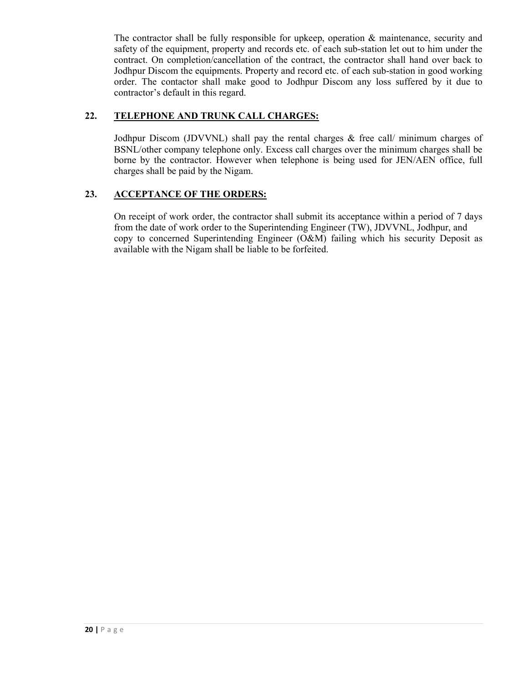The contractor shall be fully responsible for upkeep, operation & maintenance, security and safety of the equipment, property and records etc. of each sub-station let out to him under the contract. On completion/cancellation of the contract, the contractor shall hand over back to Jodhpur Discom the equipments. Property and record etc. of each sub-station in good working order. The contactor shall make good to Jodhpur Discom any loss suffered by it due to contractor's default in this regard.

# **22. TELEPHONE AND TRUNK CALL CHARGES:**

Jodhpur Discom (JDVVNL) shall pay the rental charges & free call/ minimum charges of BSNL/other company telephone only. Excess call charges over the minimum charges shall be borne by the contractor. However when telephone is being used for JEN/AEN office, full charges shall be paid by the Nigam.

# **23. ACCEPTANCE OF THE ORDERS:**

On receipt of work order, the contractor shall submit its acceptance within a period of 7 days from the date of work order to the Superintending Engineer (TW), JDVVNL, Jodhpur, and copy to concerned Superintending Engineer (O&M) failing which his security Deposit as available with the Nigam shall be liable to be forfeited.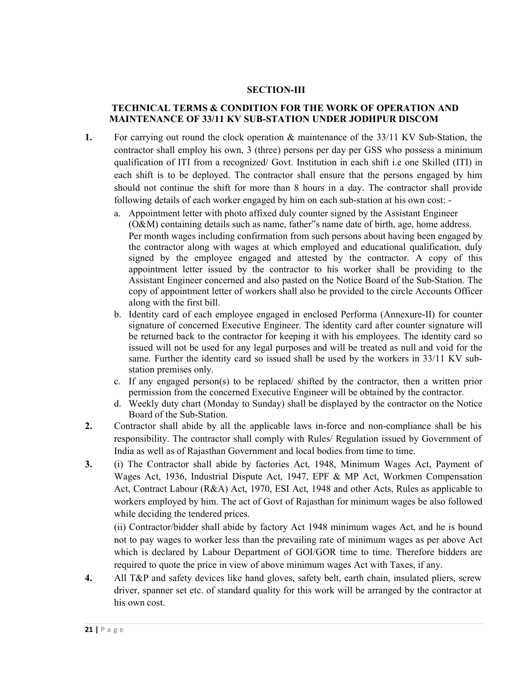#### **SECTION-III**

### **TECHNICAL TERMS & CONDITION FOR THE WORK OF OPERATION AND MAINTENANCE OF 33/11 KV SUB-STATION UNDER JODHPUR DISCOM**

- **1.** For carrying out round the clock operation & maintenance of the 33/11 KV Sub-Station, the contractor shall employ his own, 3 (three) persons per day per GSS who possess a minimum qualification of ITI from a recognized/ Govt. Institution in each shift i.e one Skilled (ITI) in each shift is to be deployed. The contractor shall ensure that the persons engaged by him should not continue the shift for more than 8 hours in a day. The contractor shall provide following details of each worker engaged by him on each sub-station at his own cost:
	- a. Appointment letter with photo affixed duly counter signed by the Assistant Engineer (O&M) containing details such as name, father"s name date of birth, age, home address. Per month wages including confirmation from such persons about having been engaged by the contractor along with wages at which employed and educational qualification, duly signed by the employee engaged and attested by the contractor. A copy of this appointment letter issued by the contractor to his worker shall be providing to the Assistant Engineer concerned and also pasted on the Notice Board of the Sub-Station. The copy of appointment letter of workers shall also be provided to the circle Accounts Officer along with the first bill.
	- b. Identity card of each employee engaged in enclosed Performa (Annexure-II) for counter signature of concerned Executive Engineer. The identity card after counter signature will be returned back to the contractor for keeping it with his employees. The identity card so issued will not be used for any legal purposes and will be treated as null and void for the same. Further the identity card so issued shall be used by the workers in 33/11 KV substation premises only.
	- c. If any engaged person(s) to be replaced/ shifted by the contractor, then a written prior permission from the concerned Executive Engineer will be obtained by the contractor.
	- d. Weekly duty chart (Monday to Sunday) shall be displayed by the contractor on the Notice Board of the Sub-Station.
- **2.** Contractor shall abide by all the applicable laws in-force and non-compliance shall be his responsibility. The contractor shall comply with Rules/ Regulation issued by Government of India as well as of Rajasthan Government and local bodies from time to time.
- **3.** (i) The Contractor shall abide by factories Act, 1948, Minimum Wages Act, Payment of Wages Act, 1936, Industrial Dispute Act, 1947, EPF & MP Act, Workmen Compensation Act, Contract Labour (R&A) Act, 1970, ESI Act, 1948 and other Acts, Rules as applicable to workers employed by him. The act of Govt of Rajasthan for minimum wages be also followed while deciding the tendered prices.

(ii) Contractor/bidder shall abide by factory Act 1948 minimum wages Act, and he is bound not to pay wages to worker less than the prevailing rate of minimum wages as per above Act which is declared by Labour Department of GOI/GOR time to time. Therefore bidders are required to quote the price in view of above minimum wages Act with Taxes, if any.

**4.** All T&P and safety devices like hand gloves, safety belt, earth chain, insulated pliers, screw driver, spanner set etc. of standard quality for this work will be arranged by the contractor at his own cost.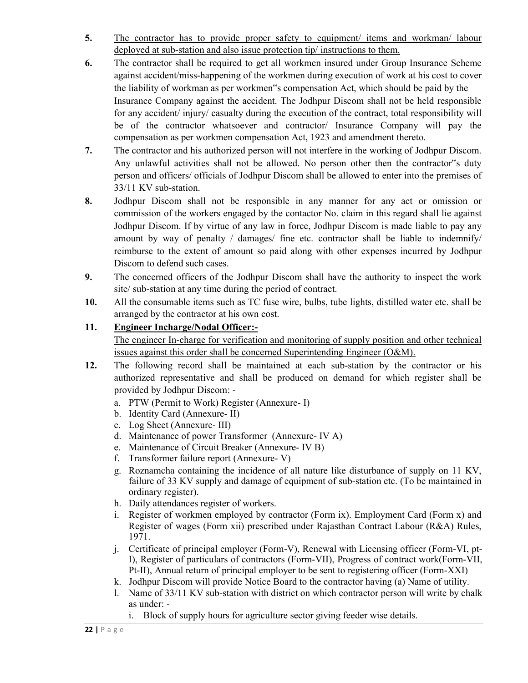- **5.** The contractor has to provide proper safety to equipment/ items and workman/ labour deployed at sub-station and also issue protection tip/ instructions to them.
- **6.** The contractor shall be required to get all workmen insured under Group Insurance Scheme against accident/miss-happening of the workmen during execution of work at his cost to cover the liability of workman as per workmen"s compensation Act, which should be paid by the Insurance Company against the accident. The Jodhpur Discom shall not be held responsible for any accident/ injury/ casualty during the execution of the contract, total responsibility will be of the contractor whatsoever and contractor/ Insurance Company will pay the compensation as per workmen compensation Act, 1923 and amendment thereto.
- **7.** The contractor and his authorized person will not interfere in the working of Jodhpur Discom. Any unlawful activities shall not be allowed. No person other then the contractor"s duty person and officers/ officials of Jodhpur Discom shall be allowed to enter into the premises of 33/11 KV sub-station.
- **8.** Jodhpur Discom shall not be responsible in any manner for any act or omission or commission of the workers engaged by the contactor No. claim in this regard shall lie against Jodhpur Discom. If by virtue of any law in force, Jodhpur Discom is made liable to pay any amount by way of penalty / damages/ fine etc. contractor shall be liable to indemnify/ reimburse to the extent of amount so paid along with other expenses incurred by Jodhpur Discom to defend such cases.
- **9.** The concerned officers of the Jodhpur Discom shall have the authority to inspect the work site/ sub-station at any time during the period of contract.
- **10.** All the consumable items such as TC fuse wire, bulbs, tube lights, distilled water etc. shall be arranged by the contractor at his own cost.

# **11. Engineer Incharge/Nodal Officer:-**

The engineer In-charge for verification and monitoring of supply position and other technical issues against this order shall be concerned Superintending Engineer (O&M).

- **12.** The following record shall be maintained at each sub-station by the contractor or his authorized representative and shall be produced on demand for which register shall be provided by Jodhpur Discom:
	- a. PTW (Permit to Work) Register (Annexure- I)
	- b. Identity Card (Annexure- II)
	- c. Log Sheet (Annexure- III)
	- d. Maintenance of power Transformer (Annexure- IV A)
	- e. Maintenance of Circuit Breaker (Annexure- IV B)
	- f. Transformer failure report (Annexure- V)
	- g. Roznamcha containing the incidence of all nature like disturbance of supply on 11 KV, failure of 33 KV supply and damage of equipment of sub-station etc. (To be maintained in ordinary register).
	- h. Daily attendances register of workers.
	- i. Register of workmen employed by contractor (Form ix). Employment Card (Form x) and Register of wages (Form xii) prescribed under Rajasthan Contract Labour (R&A) Rules, 1971.
	- j. Certificate of principal employer (Form-V), Renewal with Licensing officer (Form-VI, pt-I), Register of particulars of contractors (Form-VII), Progress of contract work(Form-VII, Pt-II), Annual return of principal employer to be sent to registering officer (Form-XXI)
	- k. Jodhpur Discom will provide Notice Board to the contractor having (a) Name of utility.
	- l. Name of 33/11 KV sub-station with district on which contractor person will write by chalk as under:
		- i. Block of supply hours for agriculture sector giving feeder wise details.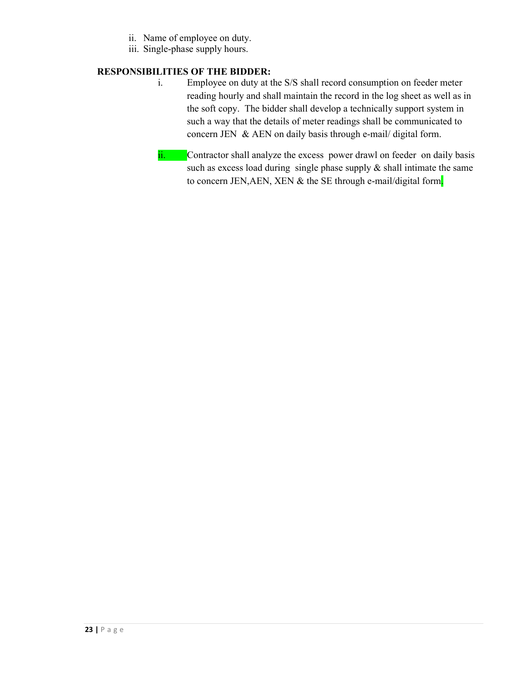- ii. Name of employee on duty.
- iii. Single-phase supply hours.

### **RESPONSIBILITIES OF THE BIDDER:**

- i. Employee on duty at the S/S shall record consumption on feeder meter reading hourly and shall maintain the record in the log sheet as well as in the soft copy. The bidder shall develop a technically support system in such a way that the details of meter readings shall be communicated to concern JEN & AEN on daily basis through e-mail/ digital form.
- ii. Contractor shall analyze the excess power drawl on feeder on daily basis such as excess load during single phase supply  $\&$  shall intimate the same to concern JEN, AEN, XEN & the SE through e-mail/digital form.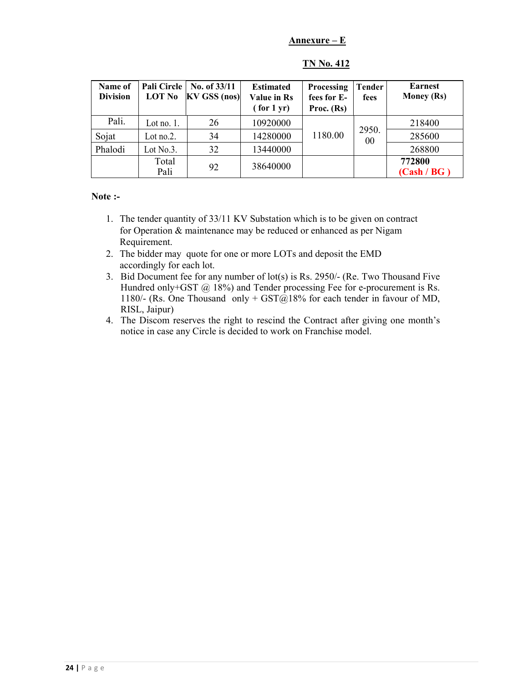### **Annexure – E**

| Name of<br><b>Division</b> | Pali Circle<br><b>LOT No</b> | No. of 33/11<br>$\vert$ KV GSS (nos) $\vert$ | <b>Estimated</b><br>Value in Rs<br>$($ for $1$ yr $)$ | Processing<br>fees for E-<br>Proc. $(Rs)$ | Tender<br>fees | <b>Earnest</b><br><b>Money (Rs)</b> |
|----------------------------|------------------------------|----------------------------------------------|-------------------------------------------------------|-------------------------------------------|----------------|-------------------------------------|
| Pali.                      | Lot no. $1$ .                | 26                                           | 10920000                                              |                                           |                | 218400                              |
| Sojat                      | Lot no.2.                    | 34                                           | 14280000                                              | 1180.00                                   | 2950.<br>00    | 285600                              |
| Phalodi                    | Lot $No.3$ .                 | 32                                           | 13440000                                              |                                           |                | 268800                              |
|                            | Total                        | 92                                           | 38640000                                              |                                           |                | 772800                              |
|                            | Pali                         |                                              |                                                       |                                           |                | (Cash / BG)                         |

# **TN No. 412**

**Note :-** 

- 1. The tender quantity of 33/11 KV Substation which is to be given on contract for Operation & maintenance may be reduced or enhanced as per Nigam Requirement.
- 2. The bidder may quote for one or more LOTs and deposit the EMD accordingly for each lot.
- 3. Bid Document fee for any number of lot(s) is Rs. 2950/- (Re. Two Thousand Five Hundred only+GST @ 18%) and Tender processing Fee for e-procurement is Rs. 1180/- (Rs. One Thousand only +  $\text{GST}(a)18\%$  for each tender in favour of MD, RISL, Jaipur)
- 4. The Discom reserves the right to rescind the Contract after giving one month's notice in case any Circle is decided to work on Franchise model.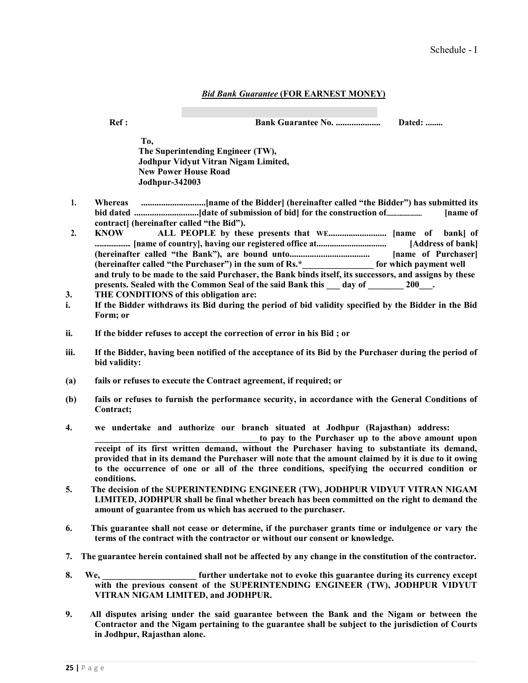#### *Bid Bank Guarantee* **(FOR EARNEST MONEY)**

**Ref : Bank Guarantee No. .................... Dated: ........**

**To, The Superintending Engineer (TW), Jodhpur Vidyut Vitran Nigam Limited, New Power House Road Jodhpur-342003** 

- **1. Whereas .............................[name of the Bidder] (hereinafter called "the Bidder") has submitted its bid dated .............................[date of submission of bid] for the construction of......................... [name of contract] (hereinafter called "the Bid").**
- **2. KNOW ALL PEOPLE by these presents that WE.......................... [name of bank] of ..................... [name of country], having our registered office at................................ [Address of bank] (hereinafter called "the Bank"), are bound unto.................................... [name of Purchaser] (hereinafter called "the Purchaser") in the sum of Rs.\*\_\_\_\_\_\_\_\_\_\_\_\_\_\_\_\_ for which payment well and truly to be made to the said Purchaser, the Bank binds itself, its successors, and assigns by these**  presents. Sealed with the Common Seal of the said Bank this day of 200<sup>1</sup>.
- **3. THE CONDITIONS of this obligation are:**
- **i. If the Bidder withdraws its Bid during the period of bid validity specified by the Bidder in the Bid Form; or**
- **ii. If the bidder refuses to accept the correction of error in his Bid ; or**
- **iii. If the Bidder, having been notified of the acceptance of its Bid by the Purchaser during the period of bid validity:**
- **(a) fails or refuses to execute the Contract agreement, if required; or**
- **(b) fails or refuses to furnish the performance security, in accordance with the General Conditions of Contract;**
- **4. we undertake and authorize our branch situated at Jodhpur (Rajasthan) address:**

**\_\_\_\_\_\_\_\_\_\_\_\_\_\_\_\_\_\_\_\_\_\_\_\_\_\_\_\_\_\_\_\_\_\_\_\_\_to pay to the Purchaser up to the above amount upon receipt of its first written demand, without the Purchaser having to substantiate its demand, provided that in its demand the Purchaser will note that the amount claimed by it is due to it owing to the occurrence of one or all of the three conditions, specifying the occurred condition or conditions.** 

- **5. The decision of the SUPERINTENDING ENGINEER (TW), JODHPUR VIDYUT VITRAN NIGAM LIMITED, JODHPUR shall be final whether breach has been committed on the right to demand the amount of guarantee from us which has accrued to the purchaser.**
- **6. This guarantee shall not cease or determine, if the purchaser grants time or indulgence or vary the terms of the contract with the contractor or without our consent or knowledge.**
- **7. The guarantee herein contained shall not be affected by any change in the constitution of the contractor.**
- **8. We, \_\_\_\_\_\_\_\_\_\_\_\_\_\_\_\_\_\_\_\_\_ further undertake not to evoke this guarantee during its currency except with the previous consent of the SUPERINTENDING ENGINEER (TW), JODHPUR VIDYUT VITRAN NIGAM LIMITED, and JODHPUR.**
- **9. All disputes arising under the said guarantee between the Bank and the Nigam or between the Contractor and the Nigam pertaining to the guarantee shall be subject to the jurisdiction of Courts in Jodhpur, Rajasthan alone.**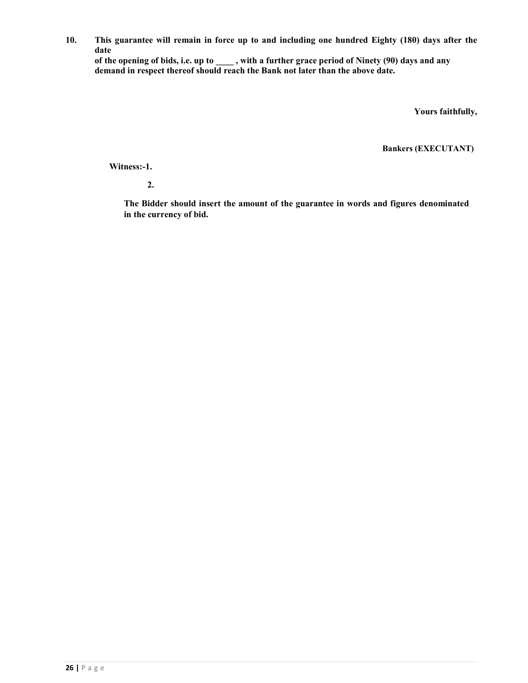**10. This guarantee will remain in force up to and including one hundred Eighty (180) days after the date** 

**of the opening of bids, i.e. up to \_\_\_\_ , with a further grace period of Ninety (90) days and any demand in respect thereof should reach the Bank not later than the above date.** 

**Yours faithfully,** 

**Bankers (EXECUTANT)** 

**Witness:-1.** 

**2.** 

**The Bidder should insert the amount of the guarantee in words and figures denominated in the currency of bid.**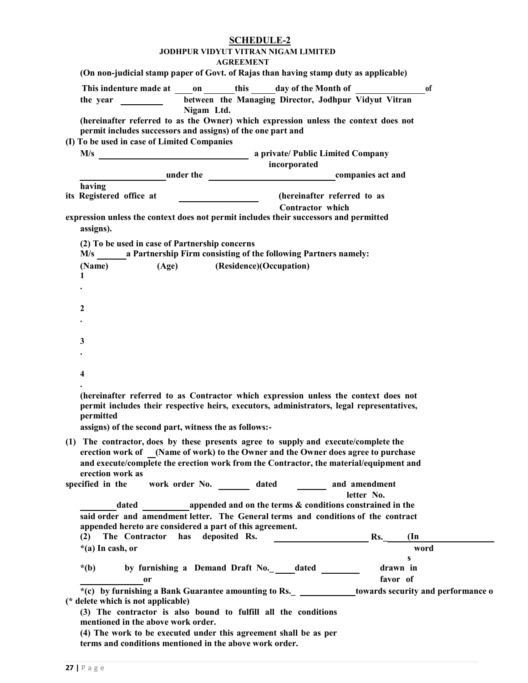**AGREEMENT** 

| (On non-judicial stamp paper of Govt. of Rajas than having stamp duty as applicable)                                                                                                                                                                   | <b>AGREEMENT</b> |                                                      |  |
|--------------------------------------------------------------------------------------------------------------------------------------------------------------------------------------------------------------------------------------------------------|------------------|------------------------------------------------------|--|
| This indenture made at on this day of the Month of                                                                                                                                                                                                     |                  | <sub>of</sub>                                        |  |
| the year $\frac{1}{\sqrt{1-\frac{1}{2}} \cdot \frac{1}{\sqrt{1-\frac{1}{2}}}}$<br>Nigam Ltd.                                                                                                                                                           |                  | between the Managing Director, Jodhpur Vidyut Vitran |  |
| (hereinafter referred to as the Owner) which expression unless the context does not<br>permit includes successors and assigns) of the one part and                                                                                                     |                  |                                                      |  |
| (I) To be used in case of Limited Companies                                                                                                                                                                                                            |                  |                                                      |  |
|                                                                                                                                                                                                                                                        | incorporated     |                                                      |  |
| under the companies act and                                                                                                                                                                                                                            |                  |                                                      |  |
| having<br>its Registered office at                                                                                                                                                                                                                     | Contractor which | (hereinafter referred to as                          |  |
| expression unless the context does not permit includes their successors and permitted<br>assigns).                                                                                                                                                     |                  |                                                      |  |
| (2) To be used in case of Partnership concerns<br>M/s a Partnership Firm consisting of the following Partners namely:                                                                                                                                  |                  |                                                      |  |
| (Age) (Residence)(Occupation)<br>(Name)<br>1                                                                                                                                                                                                           |                  |                                                      |  |
|                                                                                                                                                                                                                                                        |                  |                                                      |  |
| 2                                                                                                                                                                                                                                                      |                  |                                                      |  |
|                                                                                                                                                                                                                                                        |                  |                                                      |  |
| 3                                                                                                                                                                                                                                                      |                  |                                                      |  |
| 4                                                                                                                                                                                                                                                      |                  |                                                      |  |
|                                                                                                                                                                                                                                                        |                  |                                                      |  |
| (hereinafter referred to as Contractor which expression unless the context does not<br>permit includes their respective heirs, executors, administrators, legal representatives,<br>permitted<br>assigns) of the second part, witness the as follows:- |                  |                                                      |  |
| (1) The contractor, does by these presents agree to supply and execute/complete the                                                                                                                                                                    |                  |                                                      |  |
| erection work of (Name of work) to the Owner and the Owner does agree to purchase<br>and execute/complete the erection work from the Contractor, the material/equipment and                                                                            |                  |                                                      |  |
| erection work as<br>work order No. _________ dated _________ and amendment<br>specified in the                                                                                                                                                         |                  |                                                      |  |
|                                                                                                                                                                                                                                                        |                  | letter No.                                           |  |
| dated appended and on the terms & conditions constrained in the                                                                                                                                                                                        |                  |                                                      |  |
| said order and amendment letter. The General terms and conditions of the contract<br>appended hereto are considered a part of this agreement.                                                                                                          |                  |                                                      |  |
| has deposited Rs.<br>The Contractor<br>(2)<br>$*(a)$ In cash, or                                                                                                                                                                                       |                  | Rs.<br>$(\text{In})$<br>word                         |  |
|                                                                                                                                                                                                                                                        |                  | S                                                    |  |
| by furnishing a Demand Draft No.__dated ______<br>$*(b)$<br>0r                                                                                                                                                                                         |                  | drawn in<br>favor of                                 |  |
| *(c) by furnishing a Bank Guarantee amounting to Rs. _______________towards security and performance o<br>(* delete which is not applicable)                                                                                                           |                  |                                                      |  |
| (3) The contractor is also bound to fulfill all the conditions<br>mentioned in the above work order.                                                                                                                                                   |                  |                                                      |  |
| (4) The work to be executed under this agreement shall be as per<br>terms and conditions mentioned in the above work order.                                                                                                                            |                  |                                                      |  |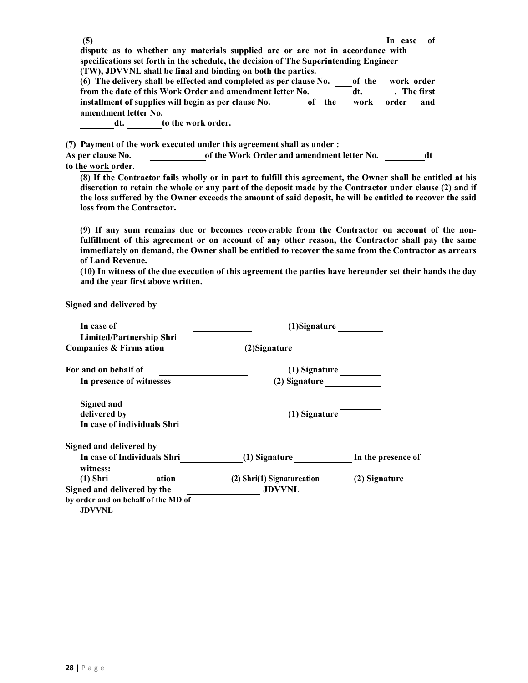**dispute as to whether any materials supplied are or are not in accordance with specifications set forth in the schedule, the decision of The Superintending Engineer (TW), JDVVNL shall be final and binding on both the parties.** 

|                      | (6) The delivery shall be effected and completed as per clause No. |                     | of the | work order |             |
|----------------------|--------------------------------------------------------------------|---------------------|--------|------------|-------------|
|                      | from the date of this Work Order and amendment letter No.          |                     | dt.    |            | . The first |
|                      | installment of supplies will begin as per clause No.               | the<br>of the order | work   | order      | and         |
| amendment letter No. |                                                                    |                     |        |            |             |
| dt.                  | to the work order.                                                 |                     |        |            |             |

**(7) Payment of the work executed under this agreement shall as under :** 

| As per clause No.  | of the Work Order and amendment letter No. |  |
|--------------------|--------------------------------------------|--|
| to the work order. |                                            |  |

**(8) If the Contractor fails wholly or in part to fulfill this agreement, the Owner shall be entitled at his discretion to retain the whole or any part of the deposit made by the Contractor under clause (2) and if the loss suffered by the Owner exceeds the amount of said deposit, he will be entitled to recover the said loss from the Contractor.** 

**(9) If any sum remains due or becomes recoverable from the Contractor on account of the nonfulfillment of this agreement or on account of any other reason, the Contractor shall pay the same immediately on demand, the Owner shall be entitled to recover the same from the Contractor as arrears of Land Revenue.** 

**(10) In witness of the due execution of this agreement the parties have hereunder set their hands the day and the year first above written.** 

**Signed and delivered by** 

| In case of                                                                          | (1)Signature               |                    |
|-------------------------------------------------------------------------------------|----------------------------|--------------------|
| Limited/Partnership Shri<br>Companies & Firms ation                                 | (2) Signature              |                    |
| For and on behalf of                                                                | (1) Signature              |                    |
| In presence of witnesses                                                            | (2) Signature              |                    |
| <b>Signed and</b><br>delivered by<br>In case of individuals Shri                    | (1) Signature              |                    |
| Signed and delivered by                                                             |                            |                    |
| In case of Individuals Shri<br>witness:                                             | (1) Signature              | In the presence of |
| (1) Shri ation                                                                      | (2) Shri(1) Signatureation | (2) Signature      |
| Signed and delivered by the<br>by order and on behalf of the MD of<br><b>JDVVNL</b> | <b>JDVVNL</b>              |                    |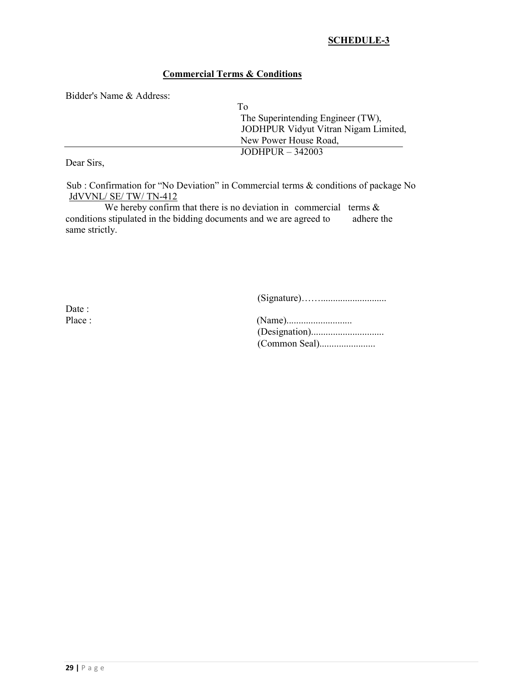# **SCHEDULE-3**

# **Commercial Terms & Conditions**

Bidder's Name & Address:

| Τò                                   |
|--------------------------------------|
| The Superintending Engineer (TW),    |
| JODHPUR Vidyut Vitran Nigam Limited, |
| New Power House Road,                |
| JODHPUR $-342003$                    |
|                                      |

Dear Sirs,

Sub : Confirmation for "No Deviation" in Commercial terms & conditions of package No JdVVNL/ SE/ TW/ TN-412

We hereby confirm that there is no deviation in commercial terms  $\&$ conditions stipulated in the bidding documents and we are agreed to adhere the same strictly.

(Signature)……...........................

Date:

| Place : |  |
|---------|--|
|         |  |
|         |  |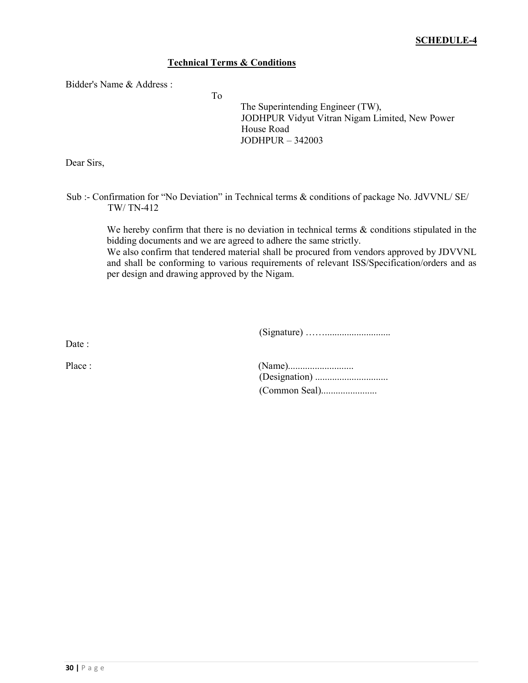# **Technical Terms & Conditions**

To

Bidder's Name & Address :

The Superintending Engineer (TW), JODHPUR Vidyut Vitran Nigam Limited, New Power House Road JODHPUR – 342003

Dear Sirs,

Sub :- Confirmation for "No Deviation" in Technical terms & conditions of package No. JdVVNL/ SE/ TW/ TN-412

> We hereby confirm that there is no deviation in technical terms  $\&$  conditions stipulated in the bidding documents and we are agreed to adhere the same strictly.

> We also confirm that tendered material shall be procured from vendors approved by JDVVNL and shall be conforming to various requirements of relevant ISS/Specification/orders and as per design and drawing approved by the Nigam.

> > (Signature) ……...........................

Date :

| Place : |  |
|---------|--|
|         |  |
|         |  |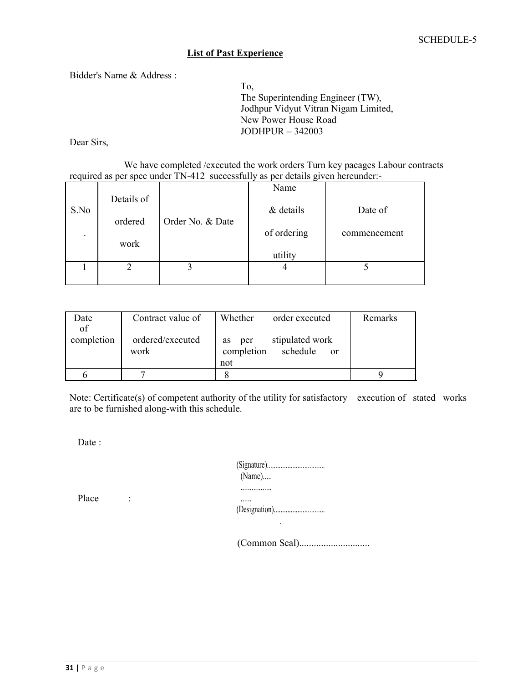#### **List of Past Experience**

Bidder's Name & Address :

To, The Superintending Engineer (TW), Jodhpur Vidyut Vitran Nigam Limited, New Power House Road JODHPUR – 342003

Dear Sirs,

We have completed /executed the work orders Turn key pacages Labour contracts required as per spec under TN-412 successfully as per details given hereunder:-

|      |            |                  | Name        |              |
|------|------------|------------------|-------------|--------------|
| S.No | Details of |                  | & details   | Date of      |
|      | ordered    | Order No. & Date |             |              |
|      |            |                  | of ordering | commencement |
|      | work       |                  | utility     |              |
|      |            |                  |             |              |
|      |            |                  |             |              |
|      |            |                  |             |              |

| Date             | Contract value of        | Whether<br>order executed                                    | Remarks |
|------------------|--------------------------|--------------------------------------------------------------|---------|
| of<br>completion | ordered/executed<br>work | stipulated work<br>per<br>as<br>completion<br>schedule<br>0r |         |
|                  |                          | not                                                          |         |
|                  |                          |                                                              |         |

Note: Certificate(s) of competent authority of the utility for satisfactory execution of stated works are to be furnished along-with this schedule.

Date :

|       |                     | $(Name)$       |
|-------|---------------------|----------------|
| Place | ٠<br>$\blacksquare$ | <br><br>$\sim$ |

(Common Seal).............................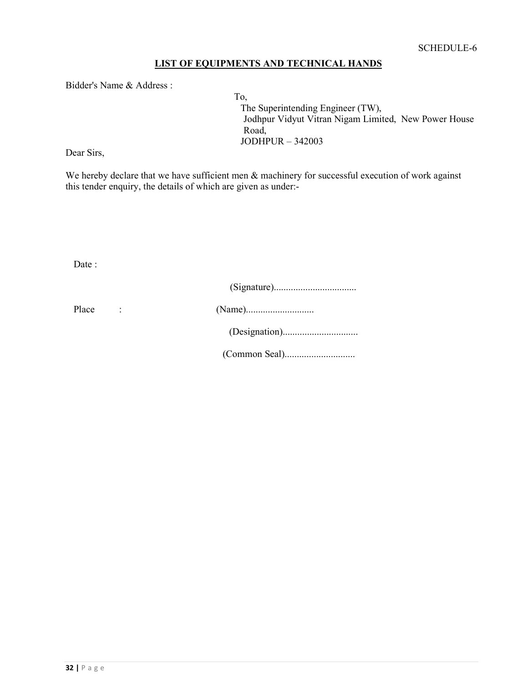# **LIST OF EQUIPMENTS AND TECHNICAL HANDS**

Bidder's Name & Address :

To, The Superintending Engineer (TW), Jodhpur Vidyut Vitran Nigam Limited, New Power House Road, JODHPUR – 342003

Dear Sirs,

We hereby declare that we have sufficient men  $\&$  machinery for successful execution of work against this tender enquiry, the details of which are given as under:-

Date :

| Place |  |
|-------|--|
|       |  |
|       |  |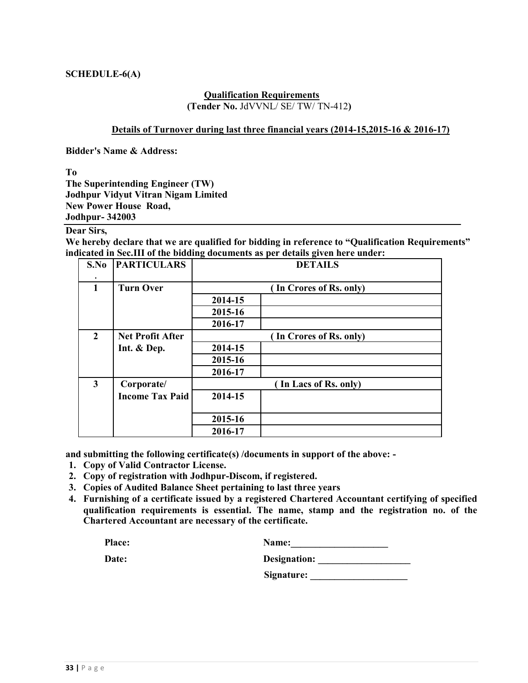#### **SCHEDULE-6(A)**

#### **Qualification Requirements (Tender No.** JdVVNL/ SE/ TW/ TN-412**)**

#### **Details of Turnover during last three financial years (2014-15,2015-16 & 2016-17)**

**Bidder's Name & Address:** 

**To** 

**The Superintending Engineer (TW) Jodhpur Vidyut Vitran Nigam Limited New Power House Road, Jodhpur- 342003** 

#### **Dear Sirs,**

**We hereby declare that we are qualified for bidding in reference to "Qualification Requirements" indicated in Sec.III of the bidding documents as per details given here under:** 

| S.No         | <b>PARTICULARS</b>      | <b>DETAILS</b> |                         |  |  |  |  |
|--------------|-------------------------|----------------|-------------------------|--|--|--|--|
| $\mathbf{1}$ | <b>Turn Over</b>        |                | (In Crores of Rs. only) |  |  |  |  |
|              |                         | 2014-15        |                         |  |  |  |  |
|              |                         | 2015-16        |                         |  |  |  |  |
|              |                         | 2016-17        |                         |  |  |  |  |
| $\mathbf{2}$ | <b>Net Profit After</b> |                | (In Crores of Rs. only) |  |  |  |  |
|              | Int. & Dep.             | 2014-15        |                         |  |  |  |  |
|              |                         | 2015-16        |                         |  |  |  |  |
|              |                         | 2016-17        |                         |  |  |  |  |
| 3            | Corporate/              |                | In Lacs of Rs. only)    |  |  |  |  |
|              | <b>Income Tax Paid</b>  | 2014-15        |                         |  |  |  |  |
|              |                         | 2015-16        |                         |  |  |  |  |
|              |                         | 2016-17        |                         |  |  |  |  |

**and submitting the following certificate(s) /documents in support of the above: -** 

- **1. Copy of Valid Contractor License.**
- **2. Copy of registration with Jodhpur-Discom, if registered.**
- **3. Copies of Audited Balance Sheet pertaining to last three years**
- **4. Furnishing of a certificate issued by a registered Chartered Accountant certifying of specified qualification requirements is essential. The name, stamp and the registration no. of the Chartered Accountant are necessary of the certificate.**

| Place: | Name: |
|--------|-------|
|        |       |

Date: **Designation:** 

| -------------- |  |  |
|----------------|--|--|
| Signature:     |  |  |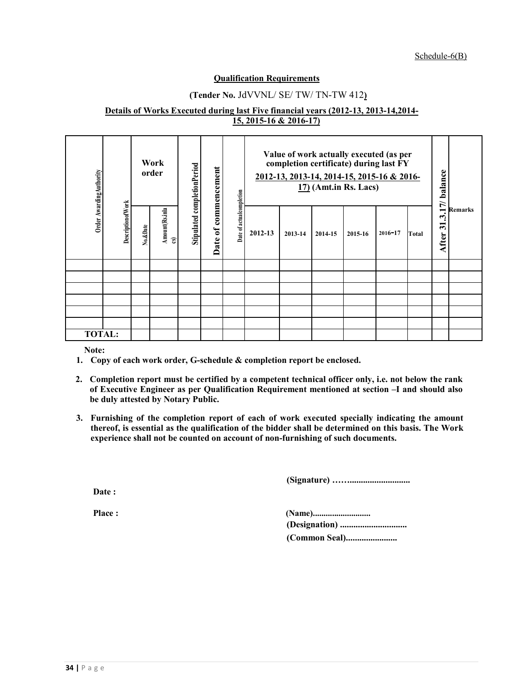Schedule-6(B)

#### **Qualification Requirements**

#### **(Tender No.** JdVVNL/ SE/ TW/ TN-TW 412**)**

#### **Details of Works Executed during last Five financial years (2012-13, 2013-14,2014- 15, 2015-16 & 2016-17)**

| Order Awarding Authority |                            | Work<br>order |                                          | Stipulated completionPeriod<br>commencement |                          |         | Value of work actually executed (as per<br>completion certificate) during last FY<br>2012-13, 2013-14, 2014-15, 2015-16 & 2016-<br>$17)$ (Amt.in Rs. Lacs) |         |         |             | 17/ balance |                                               |                |
|--------------------------|----------------------------|---------------|------------------------------------------|---------------------------------------------|--------------------------|---------|------------------------------------------------------------------------------------------------------------------------------------------------------------|---------|---------|-------------|-------------|-----------------------------------------------|----------------|
|                          | <b>Description of Work</b> | No.&Date      | Amount(Rs.inla<br>$\mathbf{\widehat{s}}$ | $\mathfrak{b}$<br>Date                      | Date of actualcompletion | 2012-13 | 2013-14                                                                                                                                                    | 2014-15 | 2015-16 | $2016 - 17$ | Total       | یہ<br>$\overline{\mathbf{5}}$<br><b>After</b> | <b>Remarks</b> |
|                          |                            |               |                                          |                                             |                          |         |                                                                                                                                                            |         |         |             |             |                                               |                |
|                          |                            |               |                                          |                                             |                          |         |                                                                                                                                                            |         |         |             |             |                                               |                |
|                          |                            |               |                                          |                                             |                          |         |                                                                                                                                                            |         |         |             |             |                                               |                |
|                          |                            |               |                                          |                                             |                          |         |                                                                                                                                                            |         |         |             |             |                                               |                |
|                          |                            |               |                                          |                                             |                          |         |                                                                                                                                                            |         |         |             |             |                                               |                |
|                          |                            |               |                                          |                                             |                          |         |                                                                                                                                                            |         |         |             |             |                                               |                |
| <b>TOTAL:</b>            |                            |               |                                          |                                             |                          |         |                                                                                                                                                            |         |         |             |             |                                               |                |

**Note:** 

- **1. Copy of each work order, G-schedule & completion report be enclosed.**
- **2. Completion report must be certified by a competent technical officer only, i.e. not below the rank of Executive Engineer as per Qualification Requirement mentioned at section –I and should also be duly attested by Notary Public.**
- **3. Furnishing of the completion report of each of work executed specially indicating the amount thereof, is essential as the qualification of the bidder shall be determined on this basis. The Work experience shall not be counted on account of non-furnishing of such documents.**

**(Signature) ……...........................** 

**Date :** 

**Place : (Name)........................... (Designation) .............................. (Common Seal).......................**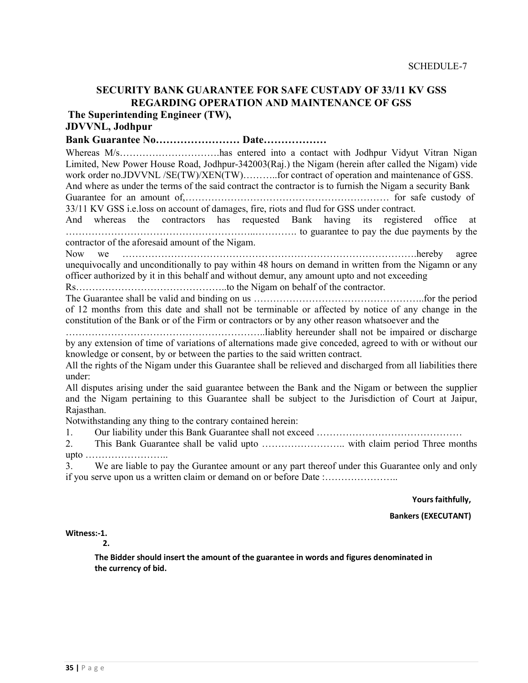# **SECURITY BANK GUARANTEE FOR SAFE CUSTADY OF 33/11 KV GSS REGARDING OPERATION AND MAINTENANCE OF GSS**

**The Superintending Engineer (TW),** 

# **JDVVNL, Jodhpur**

#### **Bank Guarantee No…………………… Date………………**

Whereas M/s…………………………has entered into a contact with Jodhpur Vidyut Vitran Nigan Limited, New Power House Road, Jodhpur-342003(Raj.) the Nigam (herein after called the Nigam) vide work order no.JDVVNL /SE(TW)/XEN(TW)..........for contract of operation and maintenance of GSS. And where as under the terms of the said contract the contractor is to furnish the Nigam a security Bank

Guarantee for an amount of,……………………………………………………… for safe custody of 33/11 KV GSS i.e.loss on account of damages, fire, riots and flud for GSS under contract.

And whereas the contractors has requested Bank having its registered office at …………………………………………………..…………. to guarantee to pay the due payments by the contractor of the aforesaid amount of the Nigam.

Now we ……………………………………………………………………………….hereby agree unequivocally and unconditionally to pay within 48 hours on demand in written from the Nigamn or any officer authorized by it in this behalf and without demur, any amount upto and not exceeding

Rs………………………………………..to the Nigam on behalf of the contractor.

The Guarantee shall be valid and binding on us ……………………………………………..for the period of 12 months from this date and shall not be terminable or affected by notice of any change in the constitution of the Bank or of the Firm or contractors or by any other reason whatsoever and the

……………………………………………………..liablity hereunder shall not be impaired or discharge by any extension of time of variations of alternations made give conceded, agreed to with or without our knowledge or consent, by or between the parties to the said written contract.

All the rights of the Nigam under this Guarantee shall be relieved and discharged from all liabilities there under:

All disputes arising under the said guarantee between the Bank and the Nigam or between the supplier and the Nigam pertaining to this Guarantee shall be subject to the Jurisdiction of Court at Jaipur, Rajasthan.

Notwithstanding any thing to the contrary contained herein:

1. Our liability under this Bank Guarantee shall not exceed ………………………………………

2. This Bank Guarantee shall be valid upto …………………….. with claim period Three months upto ……………………..

3. We are liable to pay the Gurantee amount or any part thereof under this Guarantee only and only if you serve upon us a written claim or demand on or before Date :…………………..

**Yours faithfully,** 

**Bankers (EXECUTANT)** 

**Witness:-1.** 

**2.** 

**The Bidder should insert the amount of the guarantee in words and figures denominated in the currency of bid.**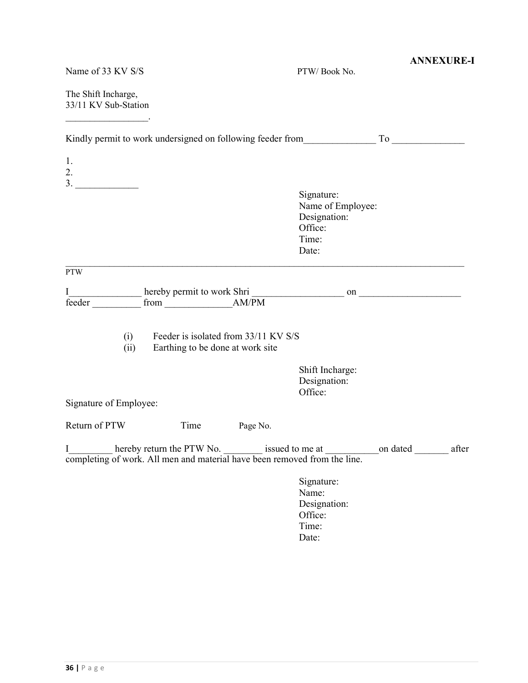| Name of 33 KV S/S                                                              |                                                                          |          | PTW/Book No.                                                                                         | <b>ANNEXURE-I</b> |
|--------------------------------------------------------------------------------|--------------------------------------------------------------------------|----------|------------------------------------------------------------------------------------------------------|-------------------|
| The Shift Incharge,<br>33/11 KV Sub-Station                                    |                                                                          |          |                                                                                                      |                   |
|                                                                                |                                                                          |          |                                                                                                      |                   |
| 1.<br>2.                                                                       |                                                                          |          |                                                                                                      |                   |
|                                                                                |                                                                          |          | Signature:<br>Name of Employee:<br>Designation:<br>Office:<br>Time:<br>Date:                         |                   |
| <b>PTW</b>                                                                     |                                                                          |          |                                                                                                      |                   |
| I<br>feeder                                                                    |                                                                          |          |                                                                                                      |                   |
| (i)<br>(ii)                                                                    | Feeder is isolated from 33/11 KV S/S<br>Earthing to be done at work site |          |                                                                                                      |                   |
|                                                                                |                                                                          |          | Shift Incharge:<br>Designation:<br>Office:                                                           |                   |
| Signature of Employee:                                                         |                                                                          |          |                                                                                                      |                   |
| Return of PTW                                                                  | Time                                                                     | Page No. |                                                                                                      |                   |
| L<br>completing of work. All men and material have been removed from the line. |                                                                          |          | hereby return the PTW No. __________ issued to me at __________________on dated ____________________ | after             |
|                                                                                |                                                                          |          | Signature:<br>Name:<br>Designation:<br>Office:<br>Time:<br>Date:                                     |                   |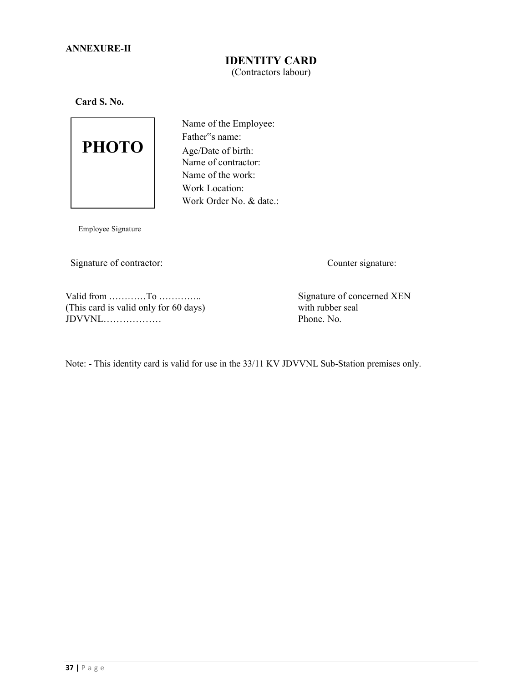### **IDENTITY CARD**  (Contractors labour)

**Card S. No.** 



Name of the Employee: Father"s name: Age/Date of birth: Name of contractor: Name of the work: Work Location: Work Order No. & date.:

Employee Signature

Signature of contractor: Counter signature:

Valid from …………To ………….. Signature of concerned XEN (This card is valid only for 60 days) with rubber seal JDVVNL……………… Phone. No.

Note: - This identity card is valid for use in the 33/11 KV JDVVNL Sub-Station premises only.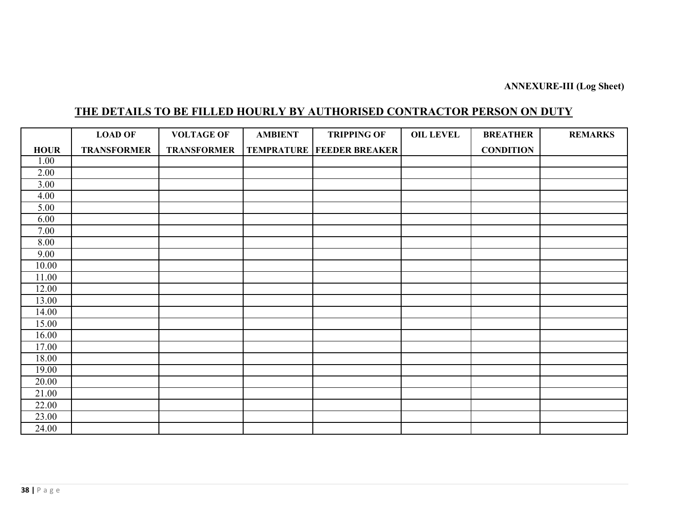## **ANNEXURE-III (Log Sheet)**

# **THE DETAILS TO BE FILLED HOURLY BY AUTHORISED CONTRACTOR PERSON ON DUTY**

|             | <b>LOAD OF</b>     | <b>VOLTAGE OF</b>  | <b>AMBIENT</b> | <b>TRIPPING OF</b>                   | <b>OIL LEVEL</b> | <b>BREATHER</b>  | <b>REMARKS</b> |
|-------------|--------------------|--------------------|----------------|--------------------------------------|------------------|------------------|----------------|
| <b>HOUR</b> | <b>TRANSFORMER</b> | <b>TRANSFORMER</b> |                | <b>TEMPRATURE   FEEDER BREAKER  </b> |                  | <b>CONDITION</b> |                |
| 1.00        |                    |                    |                |                                      |                  |                  |                |
| 2.00        |                    |                    |                |                                      |                  |                  |                |
| 3.00        |                    |                    |                |                                      |                  |                  |                |
| 4.00        |                    |                    |                |                                      |                  |                  |                |
| 5.00        |                    |                    |                |                                      |                  |                  |                |
| 6.00        |                    |                    |                |                                      |                  |                  |                |
| 7.00        |                    |                    |                |                                      |                  |                  |                |
| 8.00        |                    |                    |                |                                      |                  |                  |                |
| 9.00        |                    |                    |                |                                      |                  |                  |                |
| 10.00       |                    |                    |                |                                      |                  |                  |                |
| 11.00       |                    |                    |                |                                      |                  |                  |                |
| 12.00       |                    |                    |                |                                      |                  |                  |                |
| 13.00       |                    |                    |                |                                      |                  |                  |                |
| 14.00       |                    |                    |                |                                      |                  |                  |                |
| 15.00       |                    |                    |                |                                      |                  |                  |                |
| 16.00       |                    |                    |                |                                      |                  |                  |                |
| 17.00       |                    |                    |                |                                      |                  |                  |                |
| 18.00       |                    |                    |                |                                      |                  |                  |                |
| 19.00       |                    |                    |                |                                      |                  |                  |                |
| 20.00       |                    |                    |                |                                      |                  |                  |                |
| 21.00       |                    |                    |                |                                      |                  |                  |                |
| 22.00       |                    |                    |                |                                      |                  |                  |                |
| 23.00       |                    |                    |                |                                      |                  |                  |                |
| 24.00       |                    |                    |                |                                      |                  |                  |                |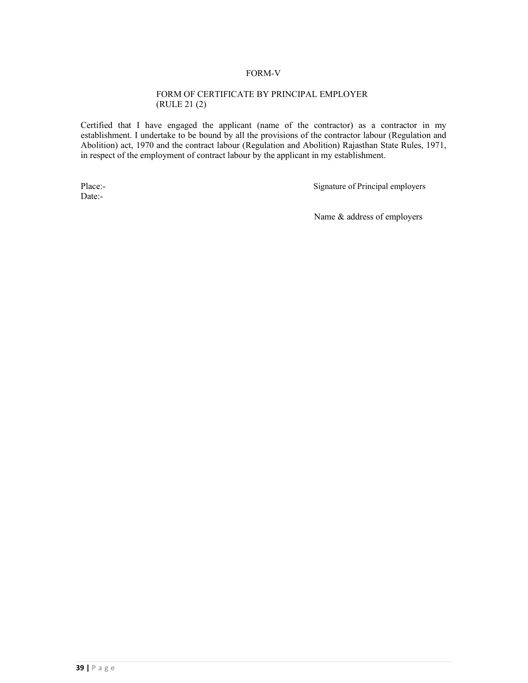#### FORM-V

#### FORM OF CERTIFICATE BY PRINCIPAL EMPLOYER (RULE 21 (2)

Certified that I have engaged the applicant (name of the contractor) as a contractor in my establishment. I undertake to be bound by all the provisions of the contractor labour (Regulation and Abolition) act, 1970 and the contract labour (Regulation and Abolition) Rajasthan State Rules, 1971, in respect of the employment of contract labour by the applicant in my establishment.

Date:-

Place:-<br>
Signature of Principal employers

Name & address of employers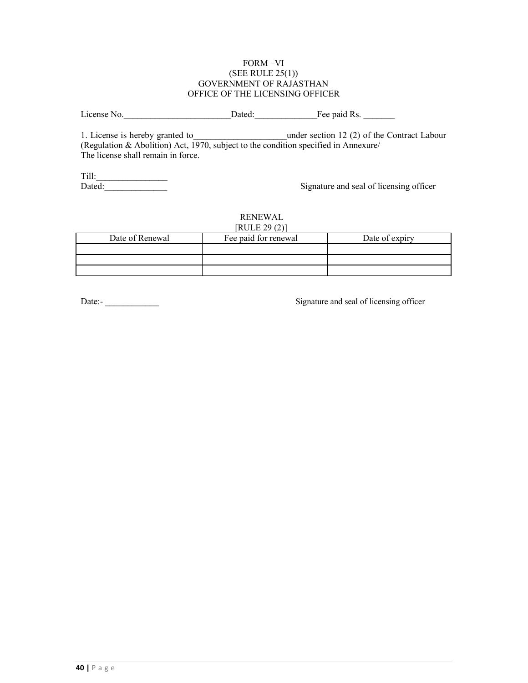#### FORM –VI (SEE RULE 25(1)) GOVERNMENT OF RAJASTHAN OFFICE OF THE LICENSING OFFICER

License No. 2012 Dated: The paid Rs.

1. License is hereby granted to the under section 12 (2) of the Contract Labour (Regulation  $\&$  Abolition) Act, 1970, subject to the condition specified in Annexure/ The license shall remain in force.

Till:\_\_\_\_\_\_\_\_\_\_\_\_\_\_\_\_

Signature and seal of licensing officer

#### RENEWAL  $[RIII]$  $[20(2)]$

| NULEZ9 (2)      |                      |                |  |  |  |
|-----------------|----------------------|----------------|--|--|--|
| Date of Renewal | Fee paid for renewal | Date of expiry |  |  |  |
|                 |                      |                |  |  |  |
|                 |                      |                |  |  |  |
|                 |                      |                |  |  |  |

Date:-<br>
Signature and seal of licensing officer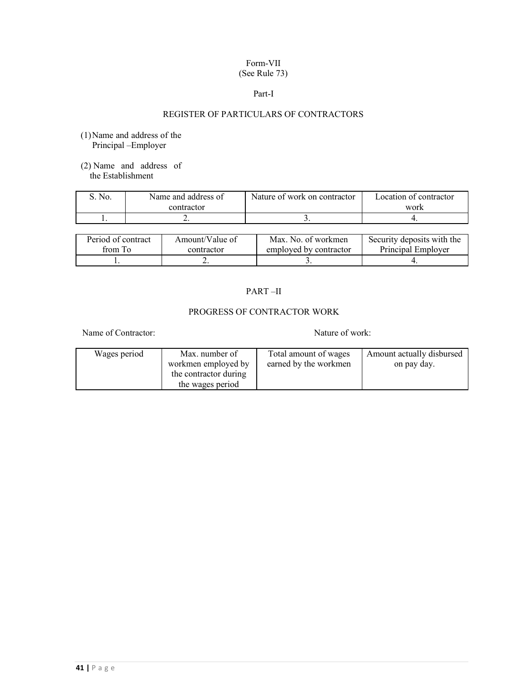#### Form-VII (See Rule 73)

#### Part-I

### REGISTER OF PARTICULARS OF CONTRACTORS

- (1)Name and address of the Principal –Employer
- (2) Name and address of the Establishment

| No | Name and address of | Nature of work on contractor | Location of contractor |
|----|---------------------|------------------------------|------------------------|
|    | contractor          |                              | work                   |
|    |                     |                              |                        |
|    |                     |                              |                        |

| Period of contract | Amount/Value of | Max. No. of workmen    | Security deposits with the |
|--------------------|-----------------|------------------------|----------------------------|
| from To            | contractor      | employed by contractor | Principal Employer         |
|                    | <u>_</u>        |                        |                            |

### PART –II

### PROGRESS OF CONTRACTOR WORK

Name of Contractor: Nature of work:

| Wages period | Max. number of        | Total amount of wages | Amount actually disbursed |
|--------------|-----------------------|-----------------------|---------------------------|
|              | workmen employed by   | earned by the workmen | on pay day.               |
|              | the contractor during |                       |                           |
|              | the wages period      |                       |                           |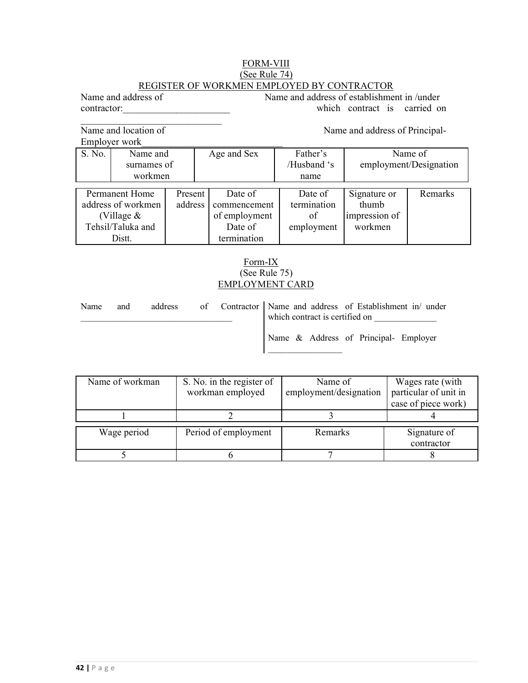#### FORM-VIII (See Rule 74) REGISTER OF WORKMEN EMPLOYED BY CONTRACTOR

Name and address of Name and address of establishment in /under contractor: which contract is carried on

Name and location of Name and address of Principal-

 $\overline{\phantom{a}}$ 

|        | Employer work      |         |               |             |               |                        |
|--------|--------------------|---------|---------------|-------------|---------------|------------------------|
| S. No. | Name and           |         | Age and Sex   | Father's    |               | Name of                |
|        | surnames of        |         |               | /Husband 's |               | employment/Designation |
|        | workmen            |         |               | name        |               |                        |
|        |                    |         |               |             |               |                        |
|        | Permanent Home     | Present | Date of       | Date of     | Signature or  | Remarks                |
|        | address of workmen | address | commencement  | termination | thumb         |                        |
|        | (Village $&$       |         | of employment | of          | impression of |                        |
|        | Tehsil/Taluka and  |         | Date of       | employment  | workmen       |                        |
|        | Distt.             |         | termination   |             |               |                        |

### Form-IX (See Rule 75) EMPLOYMENT CARD

| Name | and |  | address of Contractor Name and address of Establishment in/ under<br>which contract is certified on |                                       |
|------|-----|--|-----------------------------------------------------------------------------------------------------|---------------------------------------|
|      |     |  |                                                                                                     | Name & Address of Principal- Employer |

| Name of workman | S. No. in the register of<br>workman employed | Name of<br>employment/designation | Wages rate (with<br>particular of unit in<br>case of piece work) |
|-----------------|-----------------------------------------------|-----------------------------------|------------------------------------------------------------------|
|                 |                                               |                                   |                                                                  |
| Wage period     | Period of employment                          | Remarks                           | Signature of<br>contractor                                       |
|                 |                                               |                                   |                                                                  |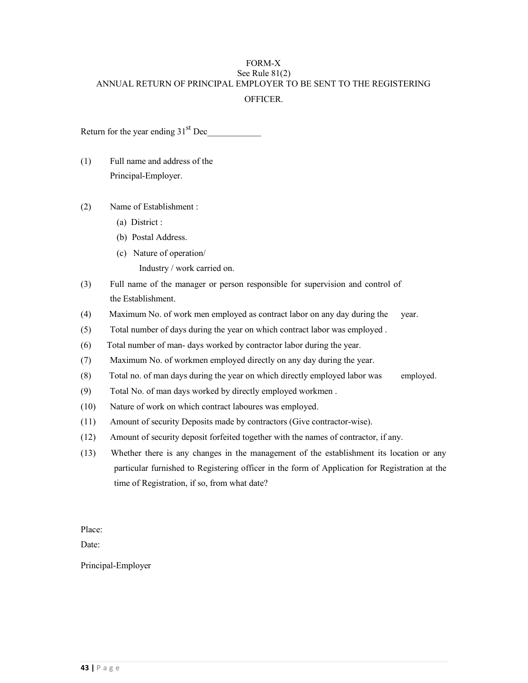### FORM-X See Rule 81(2) ANNUAL RETURN OF PRINCIPAL EMPLOYER TO BE SENT TO THE REGISTERING **OFFICER**

Return for the year ending  $31<sup>st</sup>$  Dec

- (1) Full name and address of the Principal-Employer.
- (2) Name of Establishment :
	- (a) District :
	- (b) Postal Address.
	- (c) Nature of operation/
		- Industry / work carried on.
- (3) Full name of the manager or person responsible for supervision and control of the Establishment.
- (4) Maximum No. of work men employed as contract labor on any day during the year.
- (5) Total number of days during the year on which contract labor was employed .
- (6) Total number of man- days worked by contractor labor during the year.
- (7) Maximum No. of workmen employed directly on any day during the year.
- (8) Total no. of man days during the year on which directly employed labor was employed.
- (9) Total No. of man days worked by directly employed workmen .
- (10) Nature of work on which contract laboures was employed.
- (11) Amount of security Deposits made by contractors (Give contractor-wise).
- (12) Amount of security deposit forfeited together with the names of contractor, if any.
- (13) Whether there is any changes in the management of the establishment its location or any particular furnished to Registering officer in the form of Application for Registration at the time of Registration, if so, from what date?

Place:

Date:

Principal-Employer